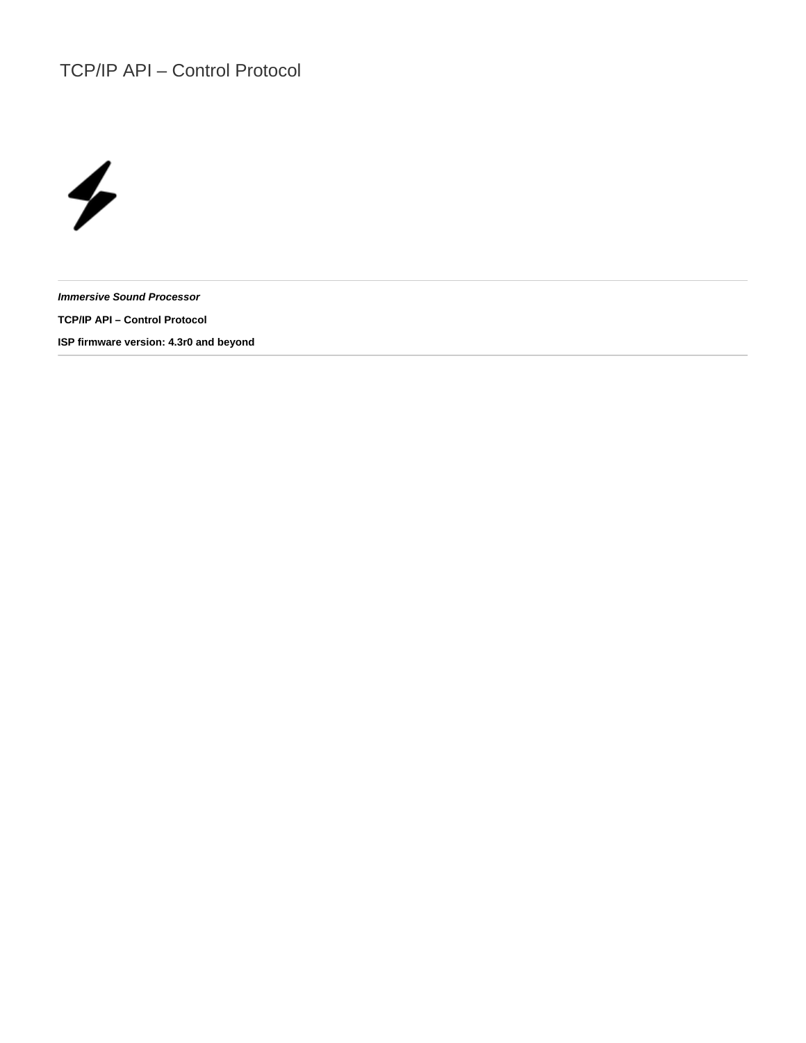# TCP/IP API – Control Protocol



**Immersive Sound Processor TCP/IP API – Control Protocol ISP firmware version: 4.3r0 and beyond**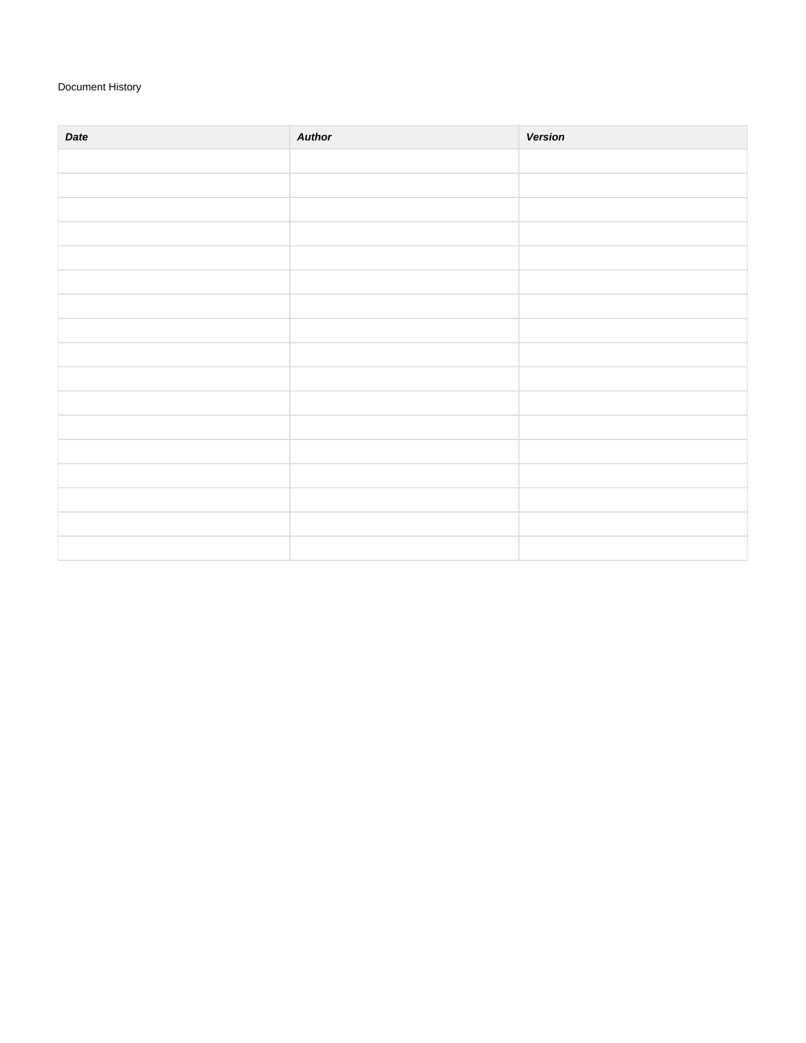## Document History

| Date | <b>Author</b> | <b>Version</b> |
|------|---------------|----------------|
|      |               |                |
|      |               |                |
|      |               |                |
|      |               |                |
|      |               |                |
|      |               |                |
|      |               |                |
|      |               |                |
|      |               |                |
|      |               |                |
|      |               |                |
|      |               |                |
|      |               |                |
|      |               |                |
|      |               |                |
|      |               |                |
|      |               |                |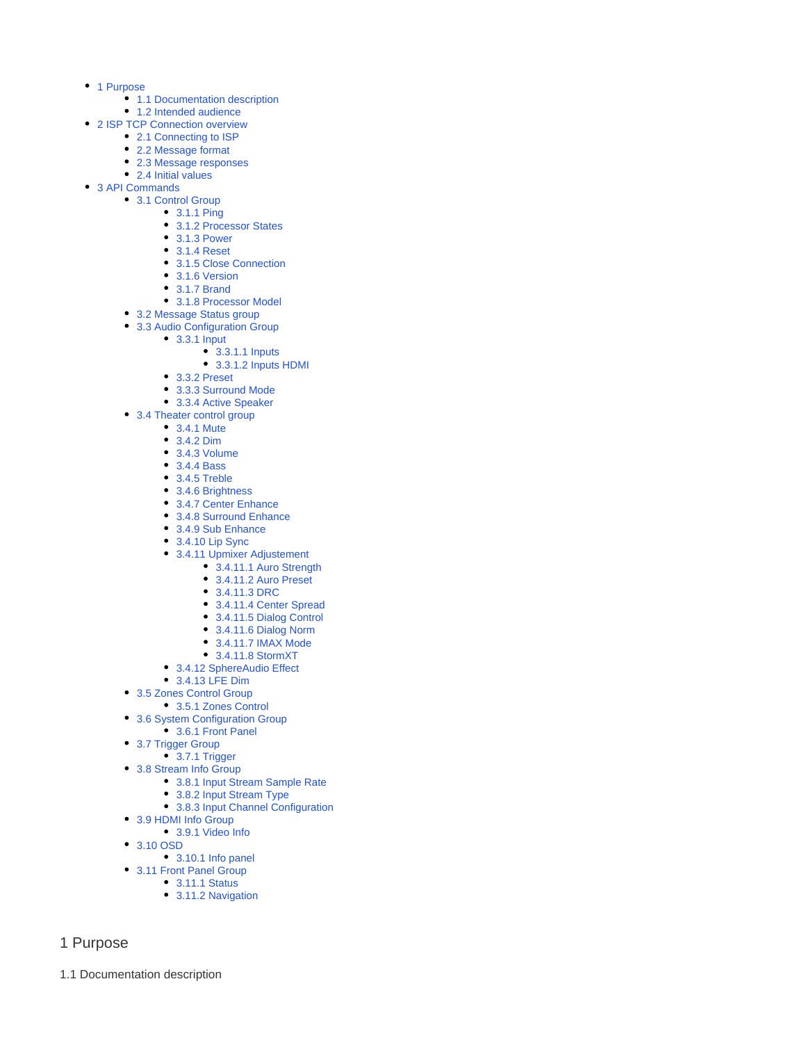- [1 Purpose](#page-2-0)
	- [1.1 Documentation description](#page-2-1)
	- [1.2 Intended audience](#page-3-0)
- [2 ISP TCP Connection overview](#page-3-1)
	- [2.1 Connecting to ISP](#page-3-2)
	- [2.2 Message format](#page-3-3)
	- [2.3 Message responses](#page-3-4) • [2.4 Initial values](#page-3-5)
- [3 API Commands](#page-3-6)
	- [3.1 Control Group](#page-3-7)
		- [3.1.1 Ping](#page-3-8)
			- [3.1.2 Processor States](#page-3-9)
			- [3.1.3 Power](#page-4-0)
			- [3.1.4 Reset](#page-4-1)
			- [3.1.5 Close Connection](#page-4-2)
			- [3.1.6 Version](#page-4-3)
			- [3.1.7 Brand](#page-4-4)
			- [3.1.8 Processor Model](#page-5-0)
		- [3.2 Message Status group](#page-5-1)
		- [3.3 Audio Configuration Group](#page-5-2)
			- [3.3.1 Input](#page-5-3)
				- [3.3.1.1 Inputs](#page-5-4)
				- [3.3.1.2 Inputs HDMI](#page-7-0)
				- [3.3.2 Preset](#page-7-1)
				- [3.3.3 Surround Mode](#page-8-0)
				- [3.3.4 Active Speaker](#page-9-0)
		- [3.4 Theater control group](#page-9-1)
			- [3.4.1 Mute](#page-9-2)
			- [3.4.2 Dim](#page-9-3)
			- [3.4.3 Volume](#page-9-4)
			- [3.4.4 Bass](#page-10-0)
			- [3.4.5 Treble](#page-10-1)
			- [3.4.6 Brightness](#page-10-2)
			- [3.4.7 Center Enhance](#page-11-0)
			- [3.4.8 Surround Enhance](#page-11-1)
			- [3.4.9 Sub Enhance](#page-11-2)
			- [3.4.10 Lip Sync](#page-12-0)
			- [3.4.11 Upmixer Adjustement](#page-12-1)
				- [3.4.11.1 Auro Strength](#page-12-2)
				- [3.4.11.2 Auro Preset](#page-12-3)
				- [3.4.11.3 DRC](#page-13-0)
				- [3.4.11.4 Center Spread](#page-13-1)
				- [3.4.11.5 Dialog Control](#page-14-0)
				- [3.4.11.6 Dialog Norm](#page-14-1)
				- [3.4.11.7 IMAX Mode](#page-15-0)
				- [3.4.11.8 StormXT](#page-15-1)
			- [3.4.12 SphereAudio Effect](#page-15-2)
			- [3.4.13 LFE Dim](#page-16-0)
		- [3.5 Zones Control Group](#page-16-1)
			- [3.5.1 Zones Control](#page-16-2)
		- [3.6 System Configuration Group](#page-18-0)
		- [3.6.1 Front Panel](#page-18-1)
		- [3.7 Trigger Group](#page-18-2)
			- [3.7.1 Trigger](#page-18-3)
		- [3.8 Stream Info Group](#page-19-0)
			- [3.8.1 Input Stream Sample Rate](#page-19-1)
			- [3.8.2 Input Stream Type](#page-19-2)
			- [3.8.3 Input Channel Configuration](#page-19-3)
		- [3.9 HDMI Info Group](#page-19-4)
			- [3.9.1 Video Info](#page-19-5)
		- [3.10 OSD](#page-20-0)
			- [3.10.1 Info panel](#page-20-1)
		- [3.11 Front Panel Group](#page-20-2)
			- [3.11.1 Status](#page-20-3)
				- [3.11.2 Navigation](#page-20-4)

## <span id="page-2-0"></span>1 Purpose

<span id="page-2-1"></span>1.1 Documentation description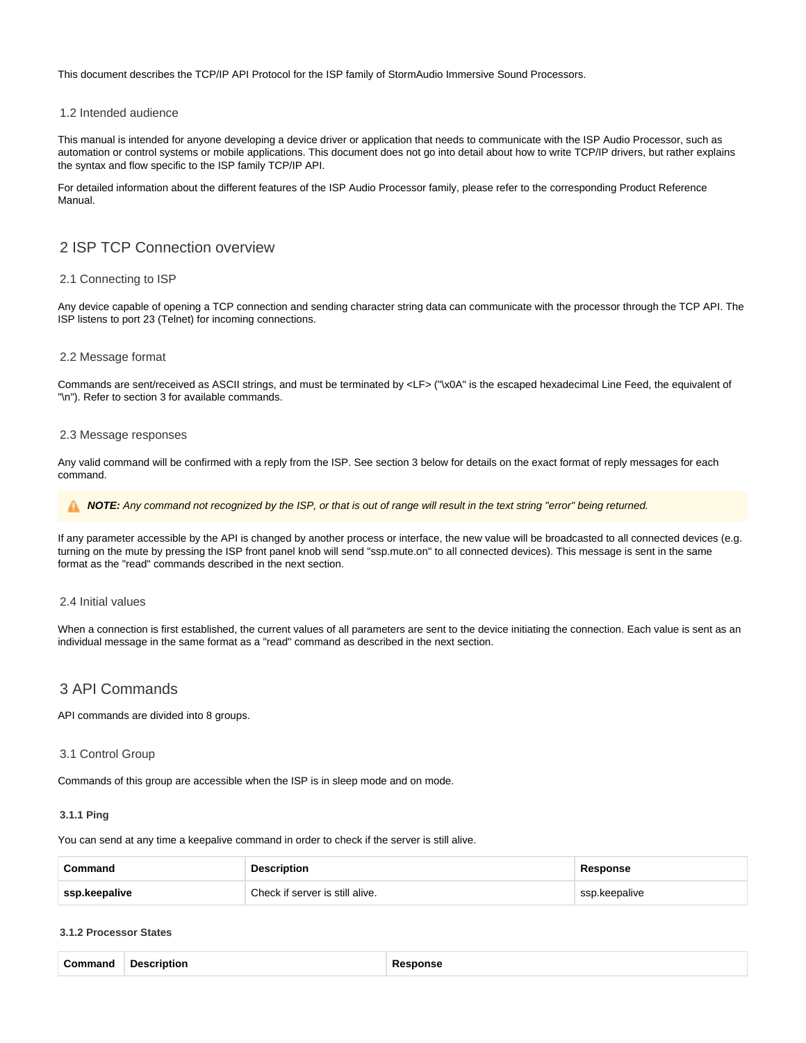This document describes the TCP/IP API Protocol for the ISP family of StormAudio Immersive Sound Processors.

#### <span id="page-3-0"></span>1.2 Intended audience

This manual is intended for anyone developing a device driver or application that needs to communicate with the ISP Audio Processor, such as automation or control systems or mobile applications. This document does not go into detail about how to write TCP/IP drivers, but rather explains the syntax and flow specific to the ISP family TCP/IP API.

For detailed information about the different features of the ISP Audio Processor family, please refer to the corresponding Product Reference Manual.

## <span id="page-3-1"></span>2 ISP TCP Connection overview

#### <span id="page-3-2"></span>2.1 Connecting to ISP

Any device capable of opening a TCP connection and sending character string data can communicate with the processor through the TCP API. The ISP listens to port 23 (Telnet) for incoming connections.

#### <span id="page-3-3"></span>2.2 Message format

Commands are sent/received as ASCII strings, and must be terminated by <LF> ("\x0A" is the escaped hexadecimal Line Feed, the equivalent of "\n"). Refer to section 3 for available commands.

#### <span id="page-3-4"></span>2.3 Message responses

Any valid command will be confirmed with a reply from the ISP. See section 3 below for details on the exact format of reply messages for each command.

**NOTE:** Any command not recognized by the ISP, or that is out of range will result in the text string "error" being returned.

If any parameter accessible by the API is changed by another process or interface, the new value will be broadcasted to all connected devices (e.g. turning on the mute by pressing the ISP front panel knob will send "ssp.mute.on" to all connected devices). This message is sent in the same format as the "read" commands described in the next section.

#### <span id="page-3-5"></span>2.4 Initial values

When a connection is first established, the current values of all parameters are sent to the device initiating the connection. Each value is sent as an individual message in the same format as a "read" command as described in the next section.

## <span id="page-3-6"></span>3 API Commands

API commands are divided into 8 groups.

#### <span id="page-3-7"></span>3.1 Control Group

Commands of this group are accessible when the ISP is in sleep mode and on mode.

#### <span id="page-3-8"></span>**3.1.1 Ping**

You can send at any time a keepalive command in order to check if the server is still alive.

| Command       | <b>Description</b>              | Response      |
|---------------|---------------------------------|---------------|
| ssp.keepalive | Check if server is still alive. | ssp.keepalive |

#### <span id="page-3-9"></span>**3.1.2 Processor States**

|  | Command Description | Response |
|--|---------------------|----------|
|--|---------------------|----------|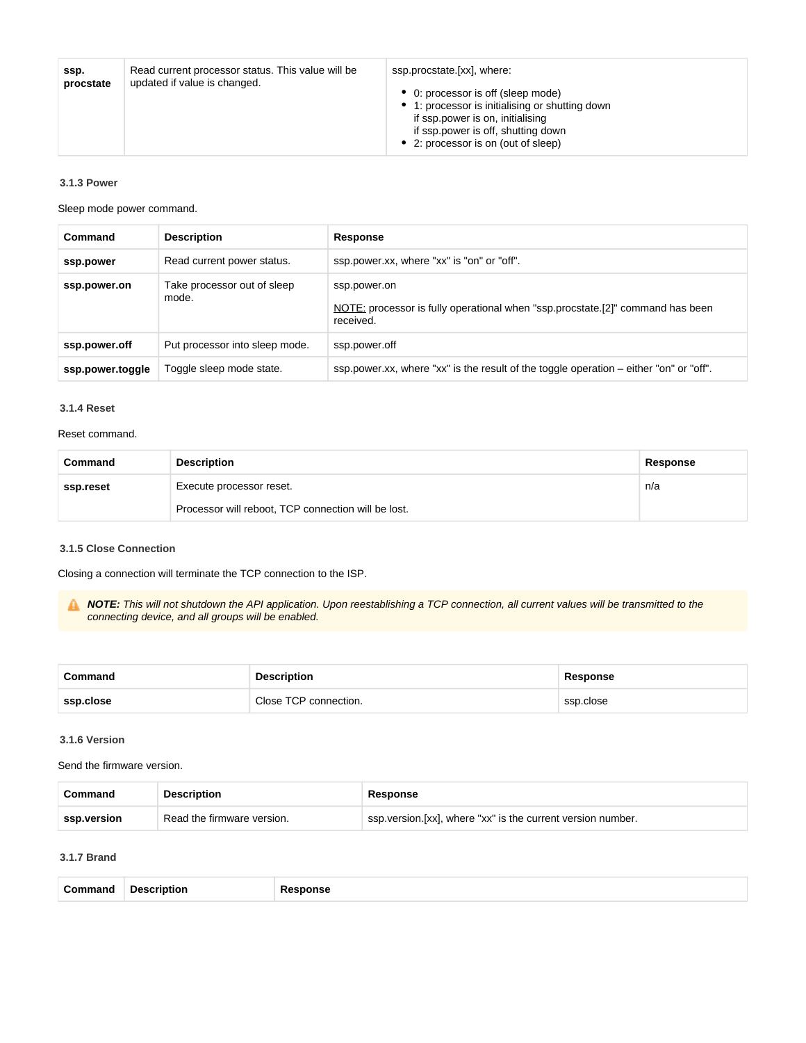| ssp.<br>procstate | Read current processor status. This value will be<br>updated if value is changed. | ssp.procstate.[xx], where:<br>• 0: processor is off (sleep mode)<br>• 1: processor is initialising or shutting down<br>if ssp.power is on, initialising<br>if ssp.power is off, shutting down<br>• 2: processor is on (out of sleep) |
|-------------------|-----------------------------------------------------------------------------------|--------------------------------------------------------------------------------------------------------------------------------------------------------------------------------------------------------------------------------------|
|-------------------|-----------------------------------------------------------------------------------|--------------------------------------------------------------------------------------------------------------------------------------------------------------------------------------------------------------------------------------|

#### <span id="page-4-0"></span>**3.1.3 Power**

Sleep mode power command.

| Command          | <b>Description</b>                   | Response                                                                                                    |
|------------------|--------------------------------------|-------------------------------------------------------------------------------------------------------------|
| ssp.power        | Read current power status.           | ssp.power.xx, where "xx" is "on" or "off".                                                                  |
| ssp.power.on     | Take processor out of sleep<br>mode. | ssp.power.on<br>NOTE: processor is fully operational when "ssp.procstate.[2]" command has been<br>received. |
| ssp.power.off    | Put processor into sleep mode.       | ssp.power.off                                                                                               |
| ssp.power.toggle | Toggle sleep mode state.             | ssp.power.xx, where "xx" is the result of the toggle operation - either "on" or "off".                      |

#### <span id="page-4-1"></span>**3.1.4 Reset**

#### Reset command.

| Command   | <b>Description</b>                                  | Response |
|-----------|-----------------------------------------------------|----------|
| ssp.reset | Execute processor reset.                            | n/a      |
|           | Processor will reboot, TCP connection will be lost. |          |

#### <span id="page-4-2"></span>**3.1.5 Close Connection**

Closing a connection will terminate the TCP connection to the ISP.

**NOTE:** This will not shutdown the API application. Upon reestablishing a TCP connection, all current values will be transmitted to the connecting device, and all groups will be enabled.

| Command   | <b>Description</b>    | Response  |
|-----------|-----------------------|-----------|
| ssp.close | Close TCP connection. | ssp.close |

#### <span id="page-4-3"></span>**3.1.6 Version**

Send the firmware version.

| Command       | <b>Description</b>         | Response                                                      |
|---------------|----------------------------|---------------------------------------------------------------|
| ssp.version * | Read the firmware version. | ssp. version. [xx], where "xx" is the current version number. |

#### <span id="page-4-4"></span>**3.1.7 Brand**

| ີomman⊾ | مور.<br>. | .<br>$\sim$ $\sim$ |  |  |  |  |
|---------|-----------|--------------------|--|--|--|--|
|---------|-----------|--------------------|--|--|--|--|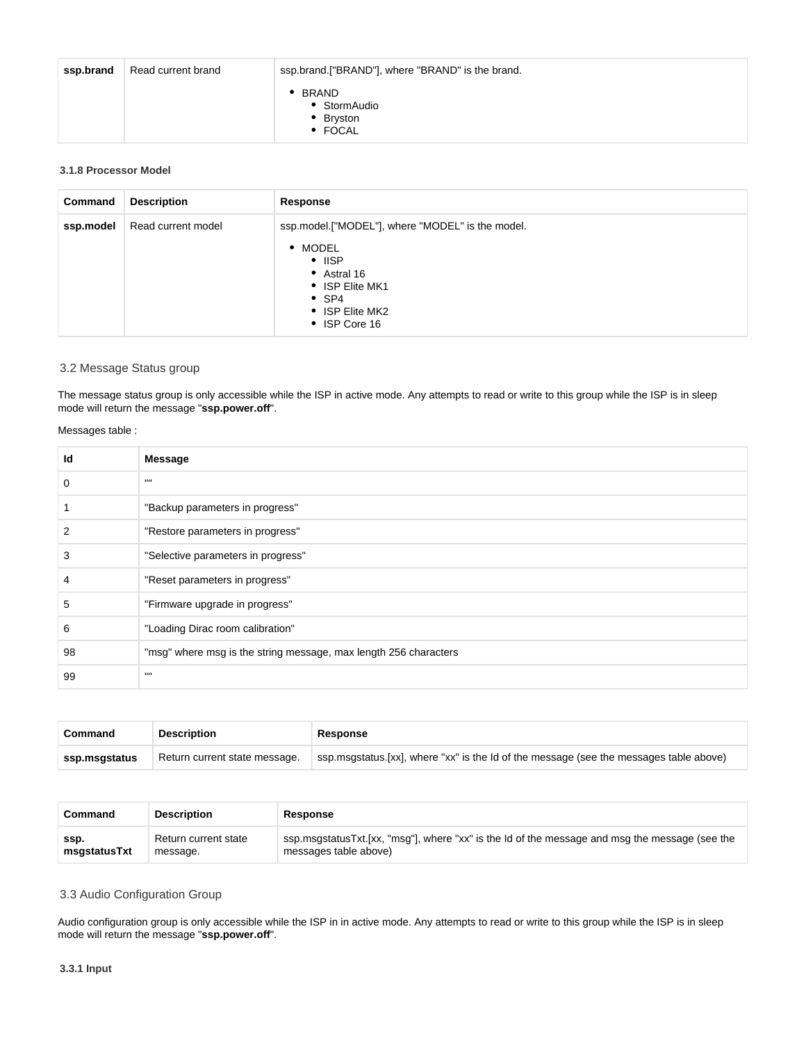| ssp.brand | Read current brand | ssp.brand.["BRAND"], where "BRAND" is the brand.   |
|-----------|--------------------|----------------------------------------------------|
|           |                    | <b>BRAND</b><br>• StormAudio<br>Bryston<br>• FOCAL |

#### <span id="page-5-0"></span>**3.1.8 Processor Model**

| Command   | <b>Description</b> | Response                                                                                                                                                           |
|-----------|--------------------|--------------------------------------------------------------------------------------------------------------------------------------------------------------------|
| ssp.model | Read current model | ssp.model.["MODEL"], where "MODEL" is the model.<br>• MODEL<br>$\cdot$ IISP<br>• Astral 16<br>• ISP Elite MK1<br>$\bullet$ SP4<br>• ISP Elite MK2<br>• ISP Core 16 |

## <span id="page-5-1"></span>3.2 Message Status group

The message status group is only accessible while the ISP in active mode. Any attempts to read or write to this group while the ISP is in sleep mode will return the message "**ssp.power.off**".

#### Messages table :

| Id | Message                                                          |
|----|------------------------------------------------------------------|
| 0  | $\mathbf{H}$                                                     |
|    | "Backup parameters in progress"                                  |
| 2  | "Restore parameters in progress"                                 |
| 3  | "Selective parameters in progress"                               |
|    | "Reset parameters in progress"                                   |
| 5  | "Firmware upgrade in progress"                                   |
| 6  | "Loading Dirac room calibration"                                 |
| 98 | "msg" where msg is the string message, max length 256 characters |
| 99 | $\mathbf{H}$                                                     |

| Command       | <b>Description</b>            | Response                                                                               |
|---------------|-------------------------------|----------------------------------------------------------------------------------------|
| ssp.msgstatus | Return current state message. | ssp.msgstatus.[xx], where "xx" is the Id of the message (see the messages table above) |

| Command      | <b>Description</b>   | Response                                                                                       |
|--------------|----------------------|------------------------------------------------------------------------------------------------|
| SSD.         | Return current state | ssp.msgstatusTxt.[xx, "msg"], where "xx" is the Id of the message and msg the message (see the |
| msgstatusTxt | message.             | messages table above)                                                                          |

## <span id="page-5-2"></span>3.3 Audio Configuration Group

<span id="page-5-4"></span><span id="page-5-3"></span>Audio configuration group is only accessible while the ISP in in active mode. Any attempts to read or write to this group while the ISP is in sleep mode will return the message "**ssp.power.off**".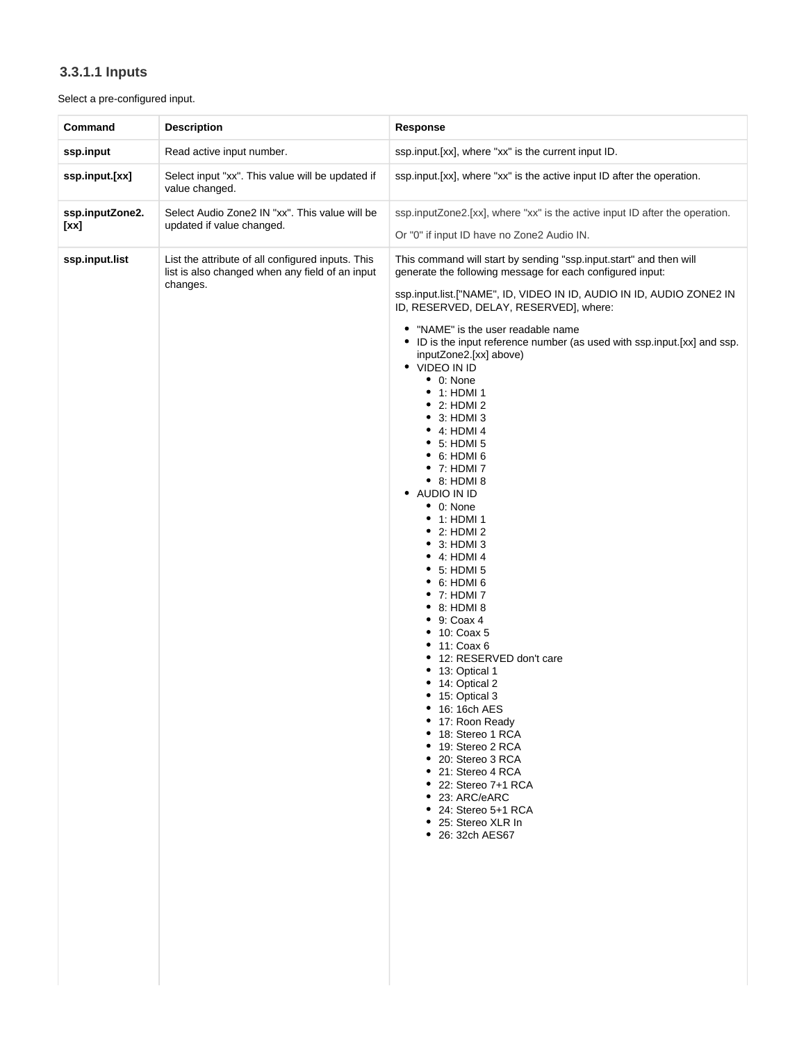## **3.3.1.1 Inputs**

## Select a pre-configured input.

| Command                 | <b>Description</b>                                                                                               | <b>Response</b>                                                                                                                                                                                                                                                                                                                                                                                                                                                                                                                                                                                                                                                                                                                                                                                                                                                                                                                                                                                                                                                                                                                                                                                       |
|-------------------------|------------------------------------------------------------------------------------------------------------------|-------------------------------------------------------------------------------------------------------------------------------------------------------------------------------------------------------------------------------------------------------------------------------------------------------------------------------------------------------------------------------------------------------------------------------------------------------------------------------------------------------------------------------------------------------------------------------------------------------------------------------------------------------------------------------------------------------------------------------------------------------------------------------------------------------------------------------------------------------------------------------------------------------------------------------------------------------------------------------------------------------------------------------------------------------------------------------------------------------------------------------------------------------------------------------------------------------|
| ssp.input               | Read active input number.                                                                                        | ssp.input.[xx], where "xx" is the current input ID.                                                                                                                                                                                                                                                                                                                                                                                                                                                                                                                                                                                                                                                                                                                                                                                                                                                                                                                                                                                                                                                                                                                                                   |
| ssp.input.[xx]          | Select input "xx". This value will be updated if<br>value changed.                                               | ssp.input.[xx], where "xx" is the active input ID after the operation.                                                                                                                                                                                                                                                                                                                                                                                                                                                                                                                                                                                                                                                                                                                                                                                                                                                                                                                                                                                                                                                                                                                                |
| ssp.inputZone2.<br>[xx] | Select Audio Zone2 IN "xx". This value will be<br>updated if value changed.                                      | ssp.inputZone2.[xx], where "xx" is the active input ID after the operation.<br>Or "0" if input ID have no Zone2 Audio IN.                                                                                                                                                                                                                                                                                                                                                                                                                                                                                                                                                                                                                                                                                                                                                                                                                                                                                                                                                                                                                                                                             |
| ssp.input.list          | List the attribute of all configured inputs. This<br>list is also changed when any field of an input<br>changes. | This command will start by sending "ssp.input.start" and then will<br>generate the following message for each configured input:<br>ssp.input.list.["NAME", ID, VIDEO IN ID, AUDIO IN ID, AUDIO ZONE2 IN<br>ID, RESERVED, DELAY, RESERVED], where:<br>"NAME" is the user readable name<br>٠<br>• ID is the input reference number (as used with ssp.input.[xx] and ssp.<br>inputZone2.[xx] above)<br>• VIDEO IN ID<br>$\bullet$ 0: None<br>• 1: HDMI 1<br>$\bullet$ 2: HDMI 2<br>• 3: HDMI 3<br>$\bullet$ 4: HDMI 4<br>$\bullet$ 5: HDMI 5<br>$\bullet$ 6: HDMI 6<br>• 7: HDMI 7<br>$\bullet$ 8: HDMI 8<br>AUDIO IN ID<br>$\bullet$ 0: None<br>$\bullet$ 1: HDMI 1<br>$\bullet$ 2: HDMI 2<br>• 3: HDMI 3<br>$\bullet$ 4: HDMI 4<br>$\bullet$ 5: HDMI 5<br>$\bullet$ 6: HDMI 6<br>• 7: HDMI 7<br>$\bullet$ 8: HDMI 8<br>$\bullet$ 9: Coax 4<br>• 10: Coax 5<br>• 11: Coax 6<br>• 12: RESERVED don't care<br>• 13: Optical 1<br>14: Optical 2<br>• 15: Optical 3<br>٠<br>16: 16ch AES<br>17: Roon Ready<br>• 18: Stereo 1 RCA<br>19: Stereo 2 RCA<br>20: Stereo 3 RCA<br>• 21: Stereo 4 RCA<br>• 22: Stereo 7+1 RCA<br>● 23: ARC/eARC<br>• 24: Stereo 5+1 RCA<br>• 25: Stereo XLR In<br>• 26: 32ch AES67 |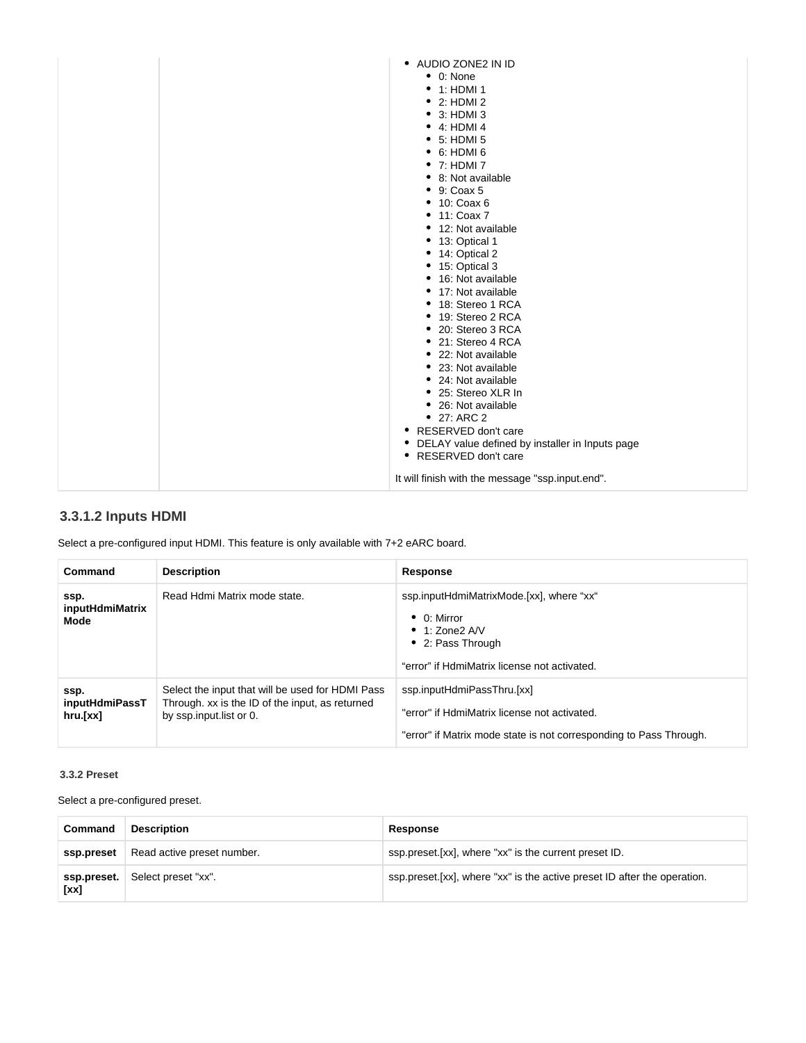| • AUDIO ZONE2 IN ID<br>$\bullet$ 0: None<br>• 1: HDMI 1<br>$\bullet$ 2: HDMI 2<br>$\bullet$ 3: HDMI 3<br>$\bullet$ 4: HDMI 4<br>$\bullet$ 5: HDMI 5<br>$\bullet$ 6: HDMI 6<br>• 7: HDMI 7<br>• 8: Not available<br>$\bullet$ 9: Coax 5<br>• 10: Coax 6<br>• 11: Coax 7<br>• 12: Not available<br>• 13: Optical 1<br>• 14: Optical 2<br>• 15: Optical 3<br>• 16: Not available<br>• 17: Not available<br>• 18: Stereo 1 RCA<br>• 19: Stereo 2 RCA<br>• 20: Stereo 3 RCA<br>• 21: Stereo 4 RCA<br>• 22: Not available<br>• 23: Not available<br>• 24: Not available<br>• 25: Stereo XLR In<br>• 26: Not available<br>$\bullet$ 27: ARC 2<br>• RESERVED don't care<br>• DELAY value defined by installer in Inputs page<br>• RESERVED don't care |
|-----------------------------------------------------------------------------------------------------------------------------------------------------------------------------------------------------------------------------------------------------------------------------------------------------------------------------------------------------------------------------------------------------------------------------------------------------------------------------------------------------------------------------------------------------------------------------------------------------------------------------------------------------------------------------------------------------------------------------------------------|
|-----------------------------------------------------------------------------------------------------------------------------------------------------------------------------------------------------------------------------------------------------------------------------------------------------------------------------------------------------------------------------------------------------------------------------------------------------------------------------------------------------------------------------------------------------------------------------------------------------------------------------------------------------------------------------------------------------------------------------------------------|

## <span id="page-7-0"></span>**3.3.1.2 Inputs HDMI**

Select a pre-configured input HDMI. This feature is only available with 7+2 eARC board.

| Command                                   | <b>Description</b>                                                                                                             | Response                                                                                                                                                       |
|-------------------------------------------|--------------------------------------------------------------------------------------------------------------------------------|----------------------------------------------------------------------------------------------------------------------------------------------------------------|
| ssp.<br>inputHdmiMatrix<br>Mode           | Read Hdmi Matrix mode state.                                                                                                   | ssp.inputHdmiMatrixMode.[xx], where "xx"<br>$\bullet$ 0: Mirror<br>$\bullet$ 1: Zone2 A/V<br>• 2: Pass Through<br>"error" if HdmiMatrix license not activated. |
| ssp.<br><i>inputHdmiPassT</i><br>hru.[xx] | Select the input that will be used for HDMI Pass<br>Through, xx is the ID of the input, as returned<br>by ssp.input.list or 0. | ssp.inputHdmiPassThru.[xx]<br>"error" if HdmiMatrix license not activated.<br>"error" if Matrix mode state is not corresponding to Pass Through.               |

## <span id="page-7-1"></span>**3.3.2 Preset**

Select a pre-configured preset.

| Command             | <b>Description</b>         | Response                                                                  |
|---------------------|----------------------------|---------------------------------------------------------------------------|
| ssp.preset          | Read active preset number. | ssp.preset. [xx], where "xx" is the current preset ID.                    |
| ssp.preset.<br>[xx] | Select preset "xx".        | ssp.preset. [xx], where "xx" is the active preset ID after the operation. |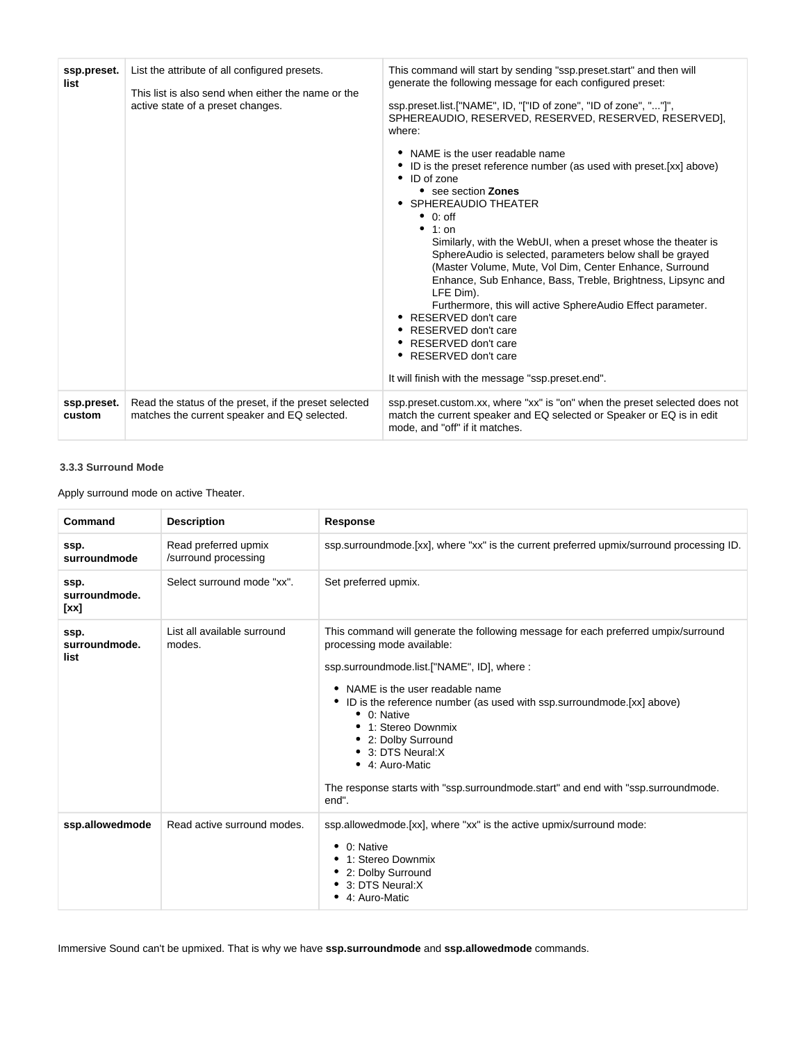| ssp.preset.<br>list   | List the attribute of all configured presets.<br>This list is also send when either the name or the<br>active state of a preset changes. | This command will start by sending "ssp.preset.start" and then will<br>generate the following message for each configured preset:<br>ssp.preset.list.["NAME", ID, "["ID of zone", "ID of zone", ""]",<br>SPHEREAUDIO, RESERVED, RESERVED, RESERVED, RESERVED],<br>where:<br>NAME is the user readable name<br>ID is the preset reference number (as used with preset. [xx] above)<br>$\bullet$ ID of zone<br>• see section Zones<br>• SPHEREAUDIO THEATER<br>$\bullet$ 0: off<br>$\bullet$ 1: on<br>Similarly, with the WebUI, when a preset whose the theater is<br>SphereAudio is selected, parameters below shall be grayed<br>(Master Volume, Mute, Vol Dim, Center Enhance, Surround<br>Enhance, Sub Enhance, Bass, Treble, Brightness, Lipsync and<br>LFE Dim).<br>Furthermore, this will active SphereAudio Effect parameter.<br>• RESERVED don't care<br>• RESERVED don't care<br>• RESERVED don't care<br>• RESERVED don't care<br>It will finish with the message "ssp.preset.end". |
|-----------------------|------------------------------------------------------------------------------------------------------------------------------------------|-----------------------------------------------------------------------------------------------------------------------------------------------------------------------------------------------------------------------------------------------------------------------------------------------------------------------------------------------------------------------------------------------------------------------------------------------------------------------------------------------------------------------------------------------------------------------------------------------------------------------------------------------------------------------------------------------------------------------------------------------------------------------------------------------------------------------------------------------------------------------------------------------------------------------------------------------------------------------------------------------|
| ssp.preset.<br>custom | Read the status of the preset, if the preset selected<br>matches the current speaker and EQ selected.                                    | ssp.preset.custom.xx, where "xx" is "on" when the preset selected does not<br>match the current speaker and EQ selected or Speaker or EQ is in edit<br>mode, and "off" if it matches.                                                                                                                                                                                                                                                                                                                                                                                                                                                                                                                                                                                                                                                                                                                                                                                                         |

## <span id="page-8-0"></span>**3.3.3 Surround Mode**

Apply surround mode on active Theater.

| Command                       | <b>Description</b>                           | <b>Response</b>                                                                                                                                                                                                                                                                                                                                                                                                                                                                        |
|-------------------------------|----------------------------------------------|----------------------------------------------------------------------------------------------------------------------------------------------------------------------------------------------------------------------------------------------------------------------------------------------------------------------------------------------------------------------------------------------------------------------------------------------------------------------------------------|
| ssp.<br>surroundmode          | Read preferred upmix<br>/surround processing | ssp.surroundmode.[xx], where "xx" is the current preferred upmix/surround processing ID.                                                                                                                                                                                                                                                                                                                                                                                               |
| ssp.<br>surroundmode.<br>[xx] | Select surround mode "xx".                   | Set preferred upmix.                                                                                                                                                                                                                                                                                                                                                                                                                                                                   |
| ssp.<br>surroundmode.<br>list | List all available surround<br>modes.        | This command will generate the following message for each preferred umpix/surround<br>processing mode available:<br>ssp.surroundmode.list.["NAME", ID], where:<br>NAME is the user readable name<br>• ID is the reference number (as used with ssp.surroundmode.[xx] above)<br>$\bullet$ 0: Native<br>• 1: Stereo Downmix<br>• 2: Dolby Surround<br>• 3: DTS Neural:X<br>• 4: Auro-Matic<br>The response starts with "ssp.surroundmode.start" and end with "ssp.surroundmode.<br>end". |
| ssp.allowedmode               | Read active surround modes.                  | ssp.allowedmode.[xx], where "xx" is the active upmix/surround mode:<br>$\bullet$ 0: Native<br>• 1: Stereo Downmix<br>• 2: Dolby Surround<br>• 3: DTS Neural:X<br>• 4: Auro-Matic                                                                                                                                                                                                                                                                                                       |

Immersive Sound can't be upmixed. That is why we have **ssp.surroundmode** and **ssp.allowedmode** commands.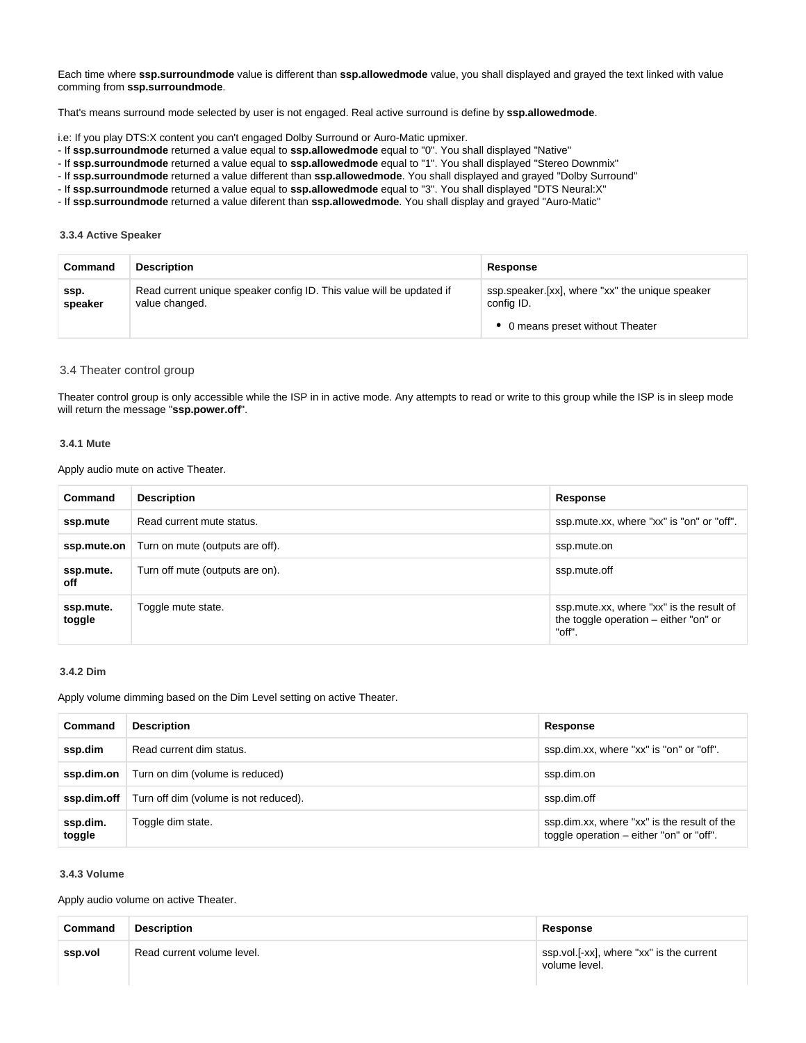Each time where **ssp.surroundmode** value is different than **ssp.allowedmode** value, you shall displayed and grayed the text linked with value comming from **ssp.surroundmode**.

That's means surround mode selected by user is not engaged. Real active surround is define by **ssp.allowedmode**.

i.e: If you play DTS:X content you can't engaged Dolby Surround or Auro-Matic upmixer.

- If **ssp.surroundmode** returned a value equal to **ssp.allowedmode** equal to "0". You shall displayed "Native"
- If **ssp.surroundmode** returned a value equal to **ssp.allowedmode** equal to "1". You shall displayed "Stereo Downmix"
- If **ssp.surroundmode** returned a value different than **ssp.allowedmode**. You shall displayed and grayed "Dolby Surround"

- If **ssp.surroundmode** returned a value equal to **ssp.allowedmode** equal to "3". You shall displayed "DTS Neural:X"

- If **ssp.surroundmode** returned a value diferent than **ssp.allowedmode**. You shall display and grayed "Auro-Matic"

#### <span id="page-9-0"></span>**3.3.4 Active Speaker**

| Command         | <b>Description</b>                                                                     | Response                                                      |  |
|-----------------|----------------------------------------------------------------------------------------|---------------------------------------------------------------|--|
| SSD.<br>speaker | Read current unique speaker config ID. This value will be updated if<br>value changed. | ssp.speaker.[xx], where "xx" the unique speaker<br>config ID. |  |
|                 |                                                                                        | 0 means preset without Theater                                |  |

#### <span id="page-9-1"></span>3.4 Theater control group

Theater control group is only accessible while the ISP in in active mode. Any attempts to read or write to this group while the ISP is in sleep mode will return the message "**ssp.power.off**".

#### <span id="page-9-2"></span>**3.4.1 Mute**

Apply audio mute on active Theater.

| Command             | <b>Description</b>              | Response                                                                                     |
|---------------------|---------------------------------|----------------------------------------------------------------------------------------------|
| ssp.mute            | Read current mute status.       | ssp.mute.xx, where "xx" is "on" or "off".                                                    |
| ssp.mute.on         | Turn on mute (outputs are off). | ssp.mute.on                                                                                  |
| ssp.mute.<br>off    | Turn off mute (outputs are on). | ssp.mute.off                                                                                 |
| ssp.mute.<br>toggle | Toggle mute state.              | ssp.mute.xx, where "xx" is the result of<br>the toggle operation $-$ either "on" or<br>"off" |

#### <span id="page-9-3"></span>**3.4.2 Dim**

Apply volume dimming based on the Dim Level setting on active Theater.

| Command            | <b>Description</b>                    | Response                                                                                |
|--------------------|---------------------------------------|-----------------------------------------------------------------------------------------|
| ssp.dim            | Read current dim status.              | ssp.dim.xx, where "xx" is "on" or "off".                                                |
| ssp.dim.on         | Turn on dim (volume is reduced)       | ssp.dim.on                                                                              |
| ssp.dim.off        | Turn off dim (volume is not reduced). | ssp.dim.off                                                                             |
| ssp.dim.<br>toggle | Toggle dim state.                     | ssp.dim.xx, where "xx" is the result of the<br>toggle operation – either "on" or "off". |

#### <span id="page-9-4"></span>**3.4.3 Volume**

Apply audio volume on active Theater.

| Command | Description                | Response                                                  |
|---------|----------------------------|-----------------------------------------------------------|
| ssp.vol | Read current volume level. | ssp.vol.[-xx], where "xx" is the current<br>volume level. |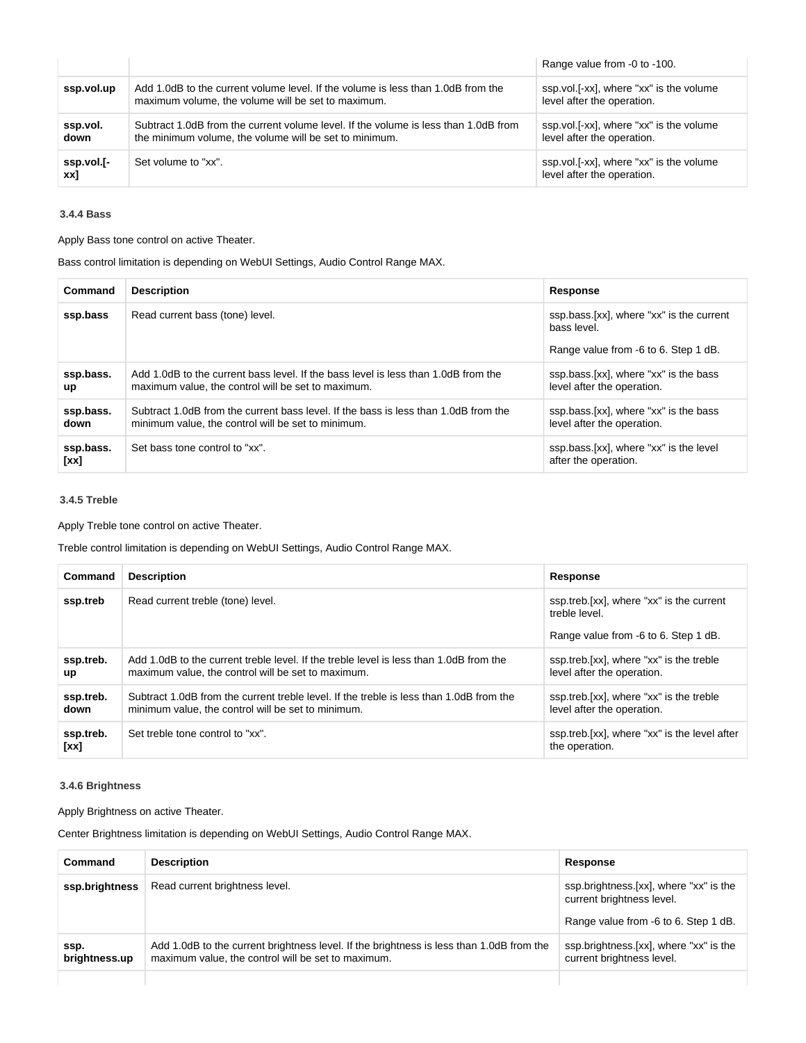|                   |                                                                                                                                               | Range value from -0 to -100.                                          |
|-------------------|-----------------------------------------------------------------------------------------------------------------------------------------------|-----------------------------------------------------------------------|
| ssp.vol.up        | Add 1.0dB to the current volume level. If the volume is less than 1.0dB from the<br>maximum volume, the volume will be set to maximum.        | ssp.vol.[-xx], where "xx" is the volume<br>level after the operation. |
| ssp.vol.<br>down  | Subtract 1.0dB from the current volume level. If the volume is less than 1.0dB from<br>the minimum volume, the volume will be set to minimum. | ssp.vol.[-xx], where "xx" is the volume<br>level after the operation. |
| ssp.vol.[-<br>xx] | Set volume to "xx".                                                                                                                           | ssp.vol.[-xx], where "xx" is the volume<br>level after the operation. |

## <span id="page-10-0"></span>**3.4.4 Bass**

Apply Bass tone control on active Theater.

Bass control limitation is depending on WebUI Settings, Audio Control Range MAX.

| Command           | <b>Description</b>                                                                                                                        | Response                                                                                        |
|-------------------|-------------------------------------------------------------------------------------------------------------------------------------------|-------------------------------------------------------------------------------------------------|
| ssp.bass          | Read current bass (tone) level.                                                                                                           | ssp.bass.[xx], where "xx" is the current<br>bass level.<br>Range value from -6 to 6. Step 1 dB. |
| ssp.bass.<br>up   | Add 1.0dB to the current bass level. If the bass level is less than 1.0dB from the<br>maximum value, the control will be set to maximum.  | ssp.bass.[xx], where "xx" is the bass<br>level after the operation.                             |
| ssp.bass.<br>down | Subtract 1.0dB from the current bass level. If the bass is less than 1.0dB from the<br>minimum value, the control will be set to minimum. | ssp.bass.[xx], where "xx" is the bass<br>level after the operation.                             |
| ssp.bass.<br>[xx] | Set bass tone control to "xx".                                                                                                            | ssp.bass.[xx], where "xx" is the level<br>after the operation.                                  |

## <span id="page-10-1"></span>**3.4.5 Treble**

Apply Treble tone control on active Theater.

Treble control limitation is depending on WebUI Settings, Audio Control Range MAX.

| Command                | <b>Description</b>                                                                                                                            | Response                                                                                          |
|------------------------|-----------------------------------------------------------------------------------------------------------------------------------------------|---------------------------------------------------------------------------------------------------|
| ssp.treb               | Read current treble (tone) level.                                                                                                             | ssp.treb.[xx], where "xx" is the current<br>treble level.<br>Range value from -6 to 6. Step 1 dB. |
| ssp.treb.<br><b>up</b> | Add 1.0dB to the current treble level. If the treble level is less than 1.0dB from the<br>maximum value, the control will be set to maximum.  | ssp.treb.[xx], where "xx" is the treble<br>level after the operation.                             |
| ssp.treb.<br>down      | Subtract 1.0dB from the current treble level. If the treble is less than 1.0dB from the<br>minimum value, the control will be set to minimum. | ssp.treb.[xx], where "xx" is the treble<br>level after the operation.                             |
| ssp.treb.<br>[xx]      | Set treble tone control to "xx".                                                                                                              | ssp.treb.[xx], where "xx" is the level after<br>the operation.                                    |

## <span id="page-10-2"></span>**3.4.6 Brightness**

Apply Brightness on active Theater.

Center Brightness limitation is depending on WebUI Settings, Audio Control Range MAX.

| Command               | <b>Description</b>                                                                                                                             | Response                                                                                                    |
|-----------------------|------------------------------------------------------------------------------------------------------------------------------------------------|-------------------------------------------------------------------------------------------------------------|
| ssp.brightness        | Read current brightness level.                                                                                                                 | ssp.brightness.[xx], where "xx" is the<br>current brightness level.<br>Range value from -6 to 6. Step 1 dB. |
| ssp.<br>brightness.up | Add 1.0dB to the current brightness level. If the brightness is less than 1.0dB from the<br>maximum value, the control will be set to maximum. | ssp.brightness.[xx], where "xx" is the<br>current brightness level.                                         |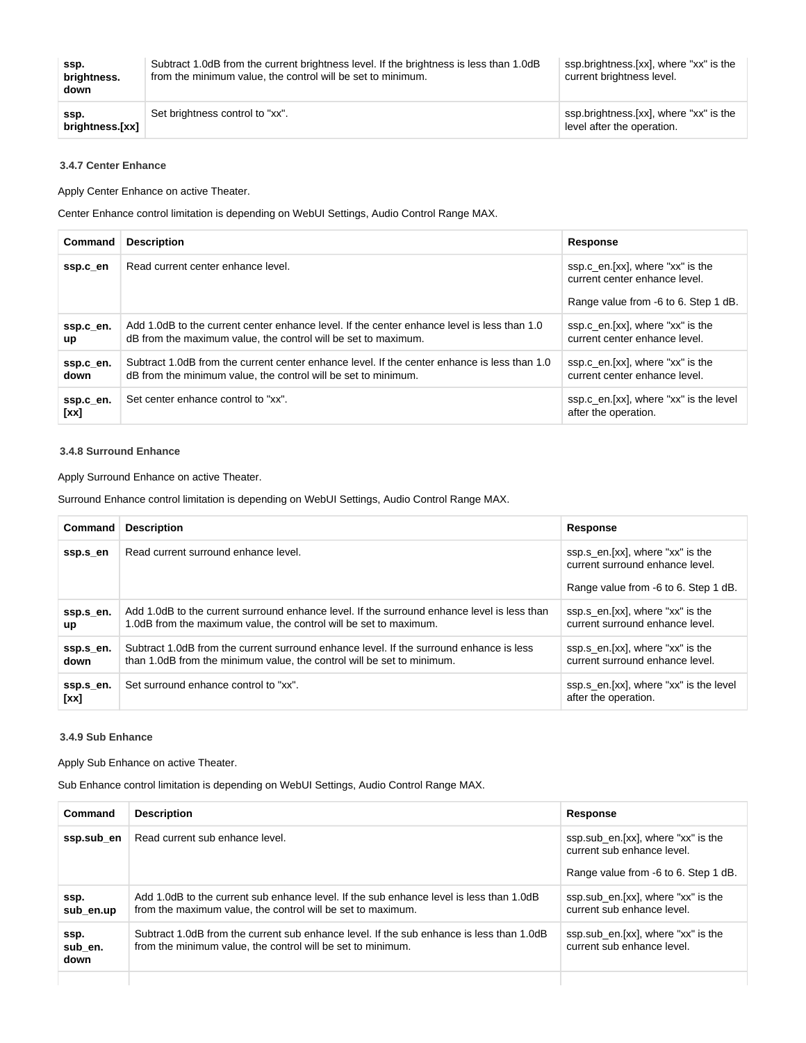| ssp.<br>brightness.<br>down | Subtract 1.0dB from the current brightness level. If the brightness is less than 1.0dB<br>from the minimum value, the control will be set to minimum. | ssp.brightness.[xx], where "xx" is the<br>current brightness level.  |
|-----------------------------|-------------------------------------------------------------------------------------------------------------------------------------------------------|----------------------------------------------------------------------|
| ssp.<br>brightness.[xx]     | Set brightness control to "xx".                                                                                                                       | ssp.brightness.[xx], where "xx" is the<br>level after the operation. |

### <span id="page-11-0"></span>**3.4.7 Center Enhance**

Apply Center Enhance on active Theater.

Center Enhance control limitation is depending on WebUI Settings, Audio Control Range MAX.

| Command           | <b>Description</b>                                                                                                                                             | <b>Response</b>                                                                                           |
|-------------------|----------------------------------------------------------------------------------------------------------------------------------------------------------------|-----------------------------------------------------------------------------------------------------------|
| ssp.c en          | Read current center enhance level.                                                                                                                             | ssp.c_en.[xx], where "xx" is the<br>current center enhance level.<br>Range value from -6 to 6. Step 1 dB. |
| ssp.c_en.<br>up   | Add 1.0dB to the current center enhance level. If the center enhance level is less than 1.0<br>dB from the maximum value, the control will be set to maximum.  | ssp.c_en.[xx], where "xx" is the<br>current center enhance level.                                         |
| ssp.c_en.<br>down | Subtract 1.0dB from the current center enhance level. If the center enhance is less than 1.0<br>dB from the minimum value, the control will be set to minimum. | ssp.c_en.[xx], where "xx" is the<br>current center enhance level.                                         |
| ssp.c_en.<br>[xx] | Set center enhance control to "xx".                                                                                                                            | ssp.c_en.[xx], where "xx" is the level<br>after the operation.                                            |

#### <span id="page-11-1"></span>**3.4.8 Surround Enhance**

Apply Surround Enhance on active Theater.

Surround Enhance control limitation is depending on WebUI Settings, Audio Control Range MAX.

| Command                | <b>Description</b>                                                                                                                                                | Response                                                                                                    |
|------------------------|-------------------------------------------------------------------------------------------------------------------------------------------------------------------|-------------------------------------------------------------------------------------------------------------|
| ssp.s_en               | Read current surround enhance level.                                                                                                                              | ssp.s_en.[xx], where "xx" is the<br>current surround enhance level.<br>Range value from -6 to 6. Step 1 dB. |
|                        |                                                                                                                                                                   |                                                                                                             |
| ssp.s en.<br><b>up</b> | Add 1.0dB to the current surround enhance level. If the surround enhance level is less than<br>1.0dB from the maximum value, the control will be set to maximum.  | ssp.s_en.[xx], where "xx" is the<br>current surround enhance level.                                         |
| ssp.s_en.<br>down      | Subtract 1.0dB from the current surround enhance level. If the surround enhance is less<br>than 1.0dB from the minimum value, the control will be set to minimum. | ssp.s_en.[xx], where "xx" is the<br>current surround enhance level.                                         |
| ssp.s_en.<br>[xx]      | Set surround enhance control to "xx".                                                                                                                             | ssp.s_en.[xx], where "xx" is the level<br>after the operation.                                              |

#### <span id="page-11-2"></span>**3.4.9 Sub Enhance**

Apply Sub Enhance on active Theater.

Sub Enhance control limitation is depending on WebUI Settings, Audio Control Range MAX.

| Command                 | <b>Description</b>                                                                                                                                      | Response                                                                                                 |
|-------------------------|---------------------------------------------------------------------------------------------------------------------------------------------------------|----------------------------------------------------------------------------------------------------------|
| ssp.sub_en              | Read current sub enhance level.                                                                                                                         | ssp.sub_en.[xx], where "xx" is the<br>current sub enhance level.<br>Range value from -6 to 6. Step 1 dB. |
| ssp.<br>sub en.up       | Add 1.0dB to the current sub enhance level. If the sub enhance level is less than 1.0dB<br>from the maximum value, the control will be set to maximum.  | ssp.sub_en.[xx], where "xx" is the<br>current sub enhance level.                                         |
| ssp.<br>sub en.<br>down | Subtract 1.0dB from the current sub enhance level. If the sub enhance is less than 1.0dB<br>from the minimum value, the control will be set to minimum. | ssp.sub_en.[xx], where "xx" is the<br>current sub enhance level.                                         |
|                         |                                                                                                                                                         |                                                                                                          |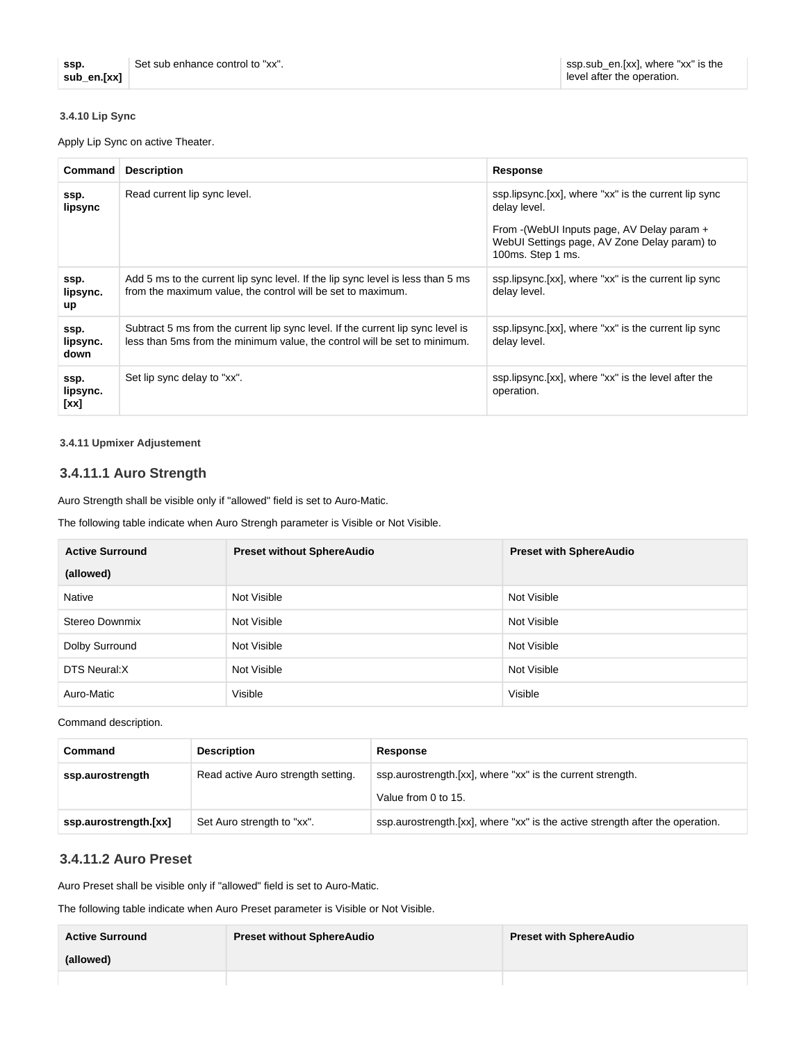## <span id="page-12-0"></span>**3.4.10 Lip Sync**

Apply Lip Sync on active Theater.

| Command                  | <b>Description</b>                                                                                                                                           | Response                                                                                                                                                                                  |
|--------------------------|--------------------------------------------------------------------------------------------------------------------------------------------------------------|-------------------------------------------------------------------------------------------------------------------------------------------------------------------------------------------|
| ssp.<br>lipsync          | Read current lip sync level.                                                                                                                                 | ssp.lipsync. [xx], where "xx" is the current lip sync<br>delay level.<br>From - (WebUI Inputs page, AV Delay param +<br>WebUI Settings page, AV Zone Delay param) to<br>100ms. Step 1 ms. |
| ssp.<br>lipsync.<br>up   | Add 5 ms to the current lip sync level. If the lip sync level is less than 5 ms<br>from the maximum value, the control will be set to maximum.               | ssp.lipsync. [xx], where "xx" is the current lip sync<br>delay level.                                                                                                                     |
| ssp.<br>lipsync.<br>down | Subtract 5 ms from the current lip sync level. If the current lip sync level is<br>less than 5ms from the minimum value, the control will be set to minimum. | ssp.lipsync.[xx], where "xx" is the current lip sync<br>delay level.                                                                                                                      |
| ssp.<br>lipsync.<br>[xx] | Set lip sync delay to "xx".                                                                                                                                  | ssp.lipsync.[xx], where "xx" is the level after the<br>operation.                                                                                                                         |

### <span id="page-12-1"></span>**3.4.11 Upmixer Adjustement**

## <span id="page-12-2"></span>**3.4.11.1 Auro Strength**

Auro Strength shall be visible only if "allowed" field is set to Auro-Matic.

The following table indicate when Auro Strengh parameter is Visible or Not Visible.

| <b>Active Surround</b> | <b>Preset without SphereAudio</b> | <b>Preset with SphereAudio</b> |
|------------------------|-----------------------------------|--------------------------------|
| (allowed)              |                                   |                                |
| Native                 | Not Visible                       | Not Visible                    |
| Stereo Downmix         | Not Visible                       | Not Visible                    |
| Dolby Surround         | Not Visible                       | Not Visible                    |
| DTS Neural:X           | Not Visible                       | Not Visible                    |
| Auro-Matic             | Visible                           | Visible                        |

Command description.

| Command                                                                                                              | <b>Description</b>         | Response                                                                      |
|----------------------------------------------------------------------------------------------------------------------|----------------------------|-------------------------------------------------------------------------------|
| ssp.aurostrength.[xx], where "xx" is the current strength.<br>Read active Auro strength setting.<br>ssp.aurostrength |                            |                                                                               |
|                                                                                                                      |                            | Value from 0 to 15.                                                           |
| ssp.aurostrength.[xx]                                                                                                | Set Auro strength to "xx". | ssp.aurostrength.[xx], where "xx" is the active strength after the operation. |

## <span id="page-12-3"></span>**3.4.11.2 Auro Preset**

Auro Preset shall be visible only if "allowed" field is set to Auro-Matic.

The following table indicate when Auro Preset parameter is Visible or Not Visible.

| <b>Active Surround</b> | <b>Preset without SphereAudio</b> | <b>Preset with SphereAudio</b> |
|------------------------|-----------------------------------|--------------------------------|
| (allowed)              |                                   |                                |
|                        |                                   |                                |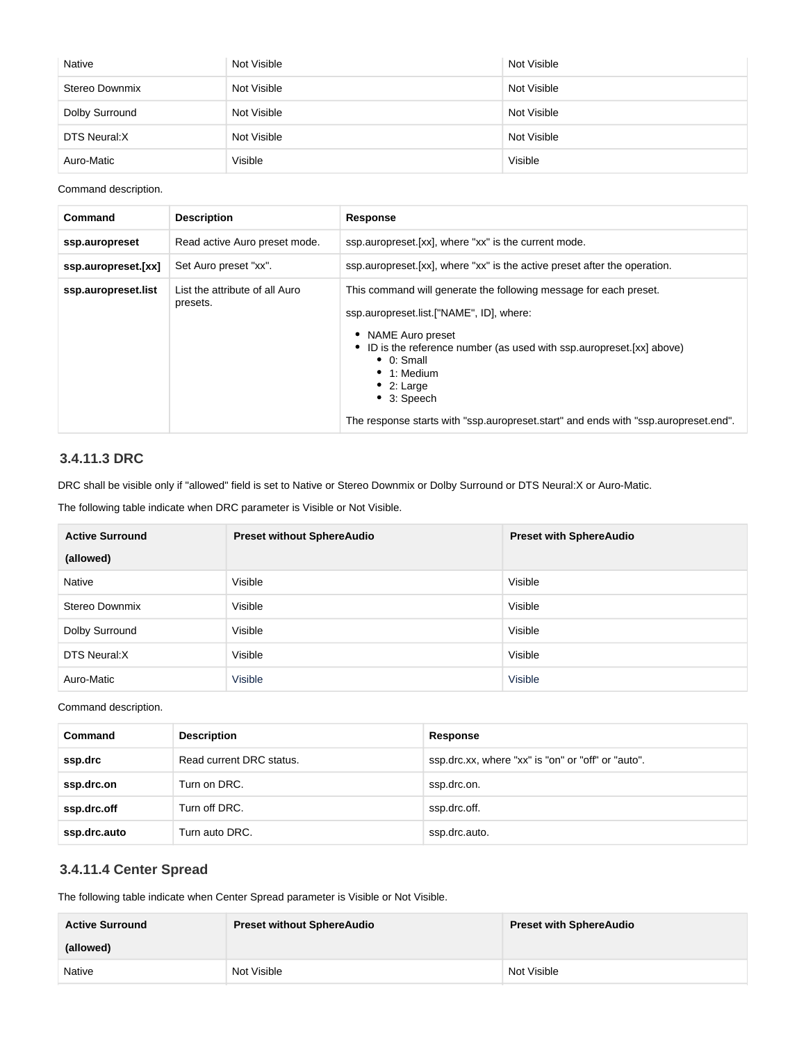| Native         | Not Visible | Not Visible |
|----------------|-------------|-------------|
| Stereo Downmix | Not Visible | Not Visible |
| Dolby Surround | Not Visible | Not Visible |
| DTS Neural: X  | Not Visible | Not Visible |
| Auro-Matic     | Visible     | Visible     |

Command description.

| Command             | <b>Description</b>                         | Response                                                                                                                                                                                                                                                                                                                                                                                        |
|---------------------|--------------------------------------------|-------------------------------------------------------------------------------------------------------------------------------------------------------------------------------------------------------------------------------------------------------------------------------------------------------------------------------------------------------------------------------------------------|
| ssp.auropreset      | Read active Auro preset mode.              | ssp.auropreset.[xx], where "xx" is the current mode.                                                                                                                                                                                                                                                                                                                                            |
| ssp.auropreset.[xx] | Set Auro preset "xx".                      | ssp. auropreset. [xx], where "xx" is the active preset after the operation.                                                                                                                                                                                                                                                                                                                     |
| ssp.auropreset.list | List the attribute of all Auro<br>presets. | This command will generate the following message for each preset.<br>ssp.auropreset.list.["NAME", ID], where:<br>• NAME Auro preset<br>• ID is the reference number (as used with ssp. auropreset. [xx] above)<br>$\bullet$ 0: Small<br>$\bullet$ 1: Medium<br>$\bullet$ 2: Large<br>$\bullet$ 3: Speech<br>The response starts with "ssp.auropreset.start" and ends with "ssp.auropreset.end". |

## <span id="page-13-0"></span>**3.4.11.3 DRC**

DRC shall be visible only if "allowed" field is set to Native or Stereo Downmix or Dolby Surround or DTS Neural:X or Auro-Matic.

The following table indicate when DRC parameter is Visible or Not Visible.

| <b>Active Surround</b> | <b>Preset without SphereAudio</b> | <b>Preset with SphereAudio</b> |
|------------------------|-----------------------------------|--------------------------------|
| (allowed)              |                                   |                                |
| Native                 | Visible                           | Visible                        |
| Stereo Downmix         | Visible                           | Visible                        |
| Dolby Surround         | Visible                           | Visible                        |
| DTS Neural:X           | Visible                           | Visible                        |
| Auro-Matic             | Visible                           | Visible                        |

Command description.

| Command      | <b>Description</b>       | Response                                           |
|--------------|--------------------------|----------------------------------------------------|
| ssp.drc      | Read current DRC status. | ssp.drc.xx, where "xx" is "on" or "off" or "auto". |
| ssp.drc.on   | Turn on DRC.             | ssp.drc.on.                                        |
| ssp.drc.off  | Turn off DRC.            | ssp.drc.off.                                       |
| ssp.drc.auto | Turn auto DRC.           | ssp.drc.auto.                                      |

## <span id="page-13-1"></span>**3.4.11.4 Center Spread**

The following table indicate when Center Spread parameter is Visible or Not Visible.

| <b>Active Surround</b> | <b>Preset without SphereAudio</b> | <b>Preset with SphereAudio</b> |
|------------------------|-----------------------------------|--------------------------------|
| (allowed)              |                                   |                                |
| Native                 | Not Visible                       | Not Visible                    |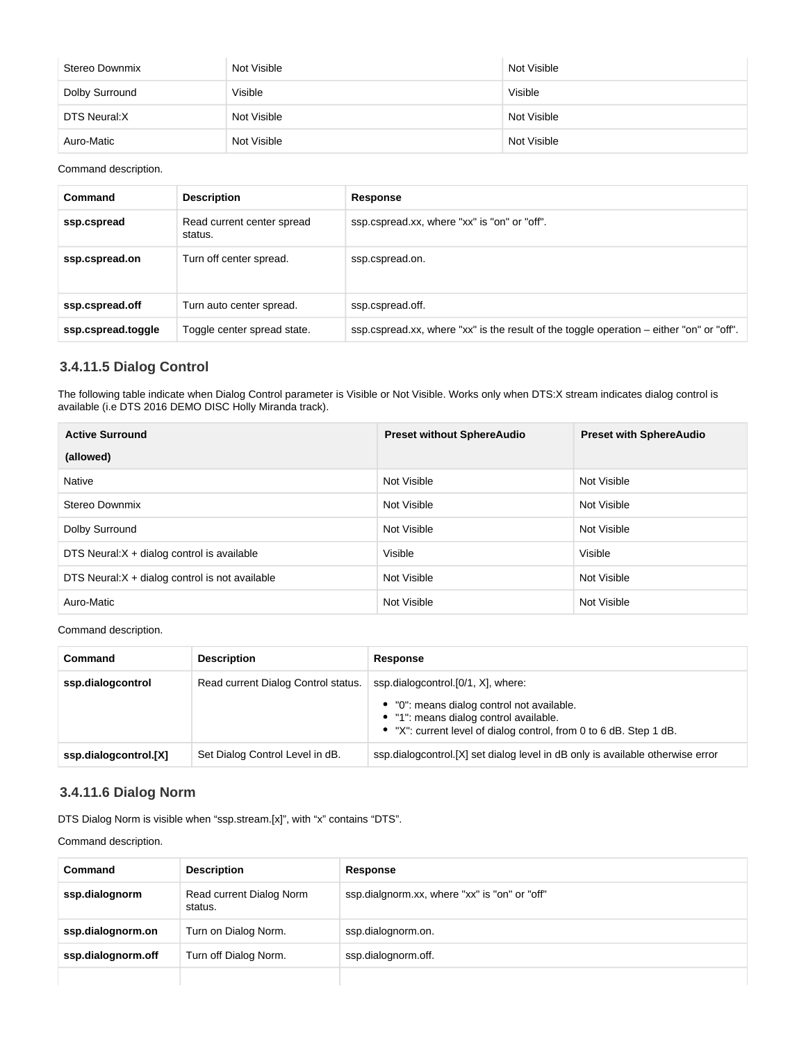| Stereo Downmix | Not Visible | Not Visible |
|----------------|-------------|-------------|
| Dolby Surround | Visible     | Visible     |
| DTS Neural:X   | Not Visible | Not Visible |
| Auro-Matic     | Not Visible | Not Visible |

Command description.

| Command            | <b>Description</b>                    | Response                                                                                   |
|--------------------|---------------------------------------|--------------------------------------------------------------------------------------------|
| ssp.cspread        | Read current center spread<br>status. | ssp.cspread.xx, where "xx" is "on" or "off".                                               |
| ssp.cspread.on     | Turn off center spread.               | ssp.cspread.on.                                                                            |
| ssp.cspread.off    | Turn auto center spread.              | ssp.cspread.off.                                                                           |
| ssp.cspread.toggle | Toggle center spread state.           | ssp.cspread.xx, where "xx" is the result of the toggle operation $-$ either "on" or "off". |

## <span id="page-14-0"></span>**3.4.11.5 Dialog Control**

The following table indicate when Dialog Control parameter is Visible or Not Visible. Works only when DTS:X stream indicates dialog control is available (i.e DTS 2016 DEMO DISC Holly Miranda track).

| <b>Active Surround</b>                          | <b>Preset without SphereAudio</b> | <b>Preset with SphereAudio</b> |
|-------------------------------------------------|-----------------------------------|--------------------------------|
| (allowed)                                       |                                   |                                |
| Native                                          | Not Visible                       | Not Visible                    |
| Stereo Downmix                                  | Not Visible                       | Not Visible                    |
| Dolby Surround                                  | Not Visible                       | Not Visible                    |
| DTS Neural: $X + diag$ control is available     | Visible                           | Visible                        |
| DTS Neural: X + dialog control is not available | Not Visible                       | Not Visible                    |
| Auro-Matic                                      | Not Visible                       | Not Visible                    |

Command description.

| Command               | <b>Description</b>                  | Response                                                                                                                                                                                         |
|-----------------------|-------------------------------------|--------------------------------------------------------------------------------------------------------------------------------------------------------------------------------------------------|
| ssp.dialogcontrol     | Read current Dialog Control status. | ssp.dialogcontrol.[0/1, X], where:<br>• "0": means dialog control not available.<br>• "1": means dialog control available.<br>• "X": current level of dialog control, from 0 to 6 dB. Step 1 dB. |
| ssp.dialogcontrol.[X] | Set Dialog Control Level in dB.     | ssp.dialogcontrol. [X] set dialog level in dB only is available otherwise error                                                                                                                  |

## <span id="page-14-1"></span>**3.4.11.6 Dialog Norm**

DTS Dialog Norm is visible when "ssp.stream.[x]", with "x" contains "DTS".

Command description.

| Command            | <b>Description</b>                  | Response                                      |
|--------------------|-------------------------------------|-----------------------------------------------|
| ssp.dialognorm     | Read current Dialog Norm<br>status. | ssp.dialgnorm.xx, where "xx" is "on" or "off" |
| ssp.dialognorm.on  | Turn on Dialog Norm.                | ssp.dialognorm.on.                            |
| ssp.dialognorm.off | Turn off Dialog Norm.               | ssp.dialognorm.off.                           |
|                    |                                     |                                               |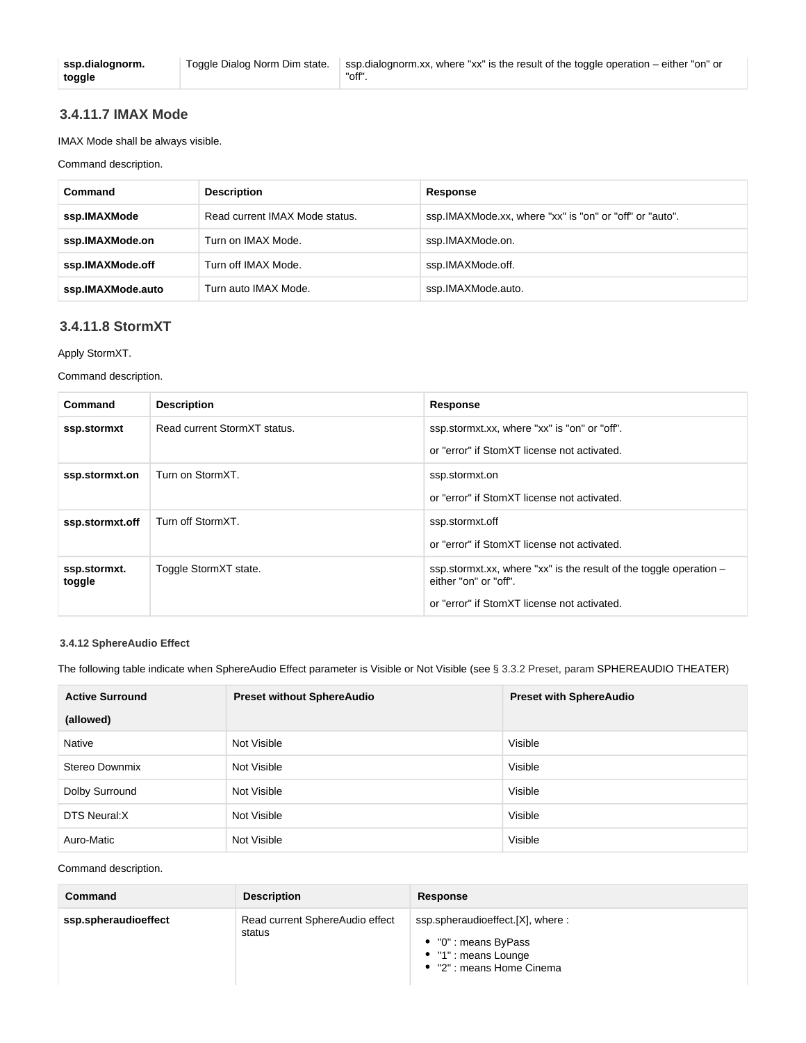## <span id="page-15-0"></span>**3.4.11.7 IMAX Mode**

IMAX Mode shall be always visible.

Command description.

| Command           | <b>Description</b>             | Response                                                |
|-------------------|--------------------------------|---------------------------------------------------------|
| ssp.IMAXMode      | Read current IMAX Mode status. | ssp.IMAXMode.xx, where "xx" is "on" or "off" or "auto". |
| ssp.IMAXMode.on   | Turn on IMAX Mode.             | ssp.IMAXMode.on.                                        |
| ssp.IMAXMode.off  | Turn off IMAX Mode.            | ssp.IMAXMode.off.                                       |
| ssp.IMAXMode.auto | Turn auto IMAX Mode.           | ssp.IMAXMode.auto.                                      |

## <span id="page-15-1"></span>**3.4.11.8 StormXT**

Apply StormXT.

Command description.

| Command                | <b>Description</b>           | Response                                                                                      |
|------------------------|------------------------------|-----------------------------------------------------------------------------------------------|
| ssp.stormxt            | Read current StormXT status. | ssp.stormxt.xx, where "xx" is "on" or "off".                                                  |
|                        |                              | or "error" if StomXT license not activated.                                                   |
| ssp.stormxt.on         | Turn on StormXT.             | ssp.stormxt.on                                                                                |
|                        |                              | or "error" if StomXT license not activated.                                                   |
| ssp.stormxt.off        | Turn off StormXT.            | ssp.stormxt.off                                                                               |
|                        |                              | or "error" if StomXT license not activated.                                                   |
| ssp.stormxt.<br>toggle | Toggle StormXT state.        | ssp.stormxt.xx, where "xx" is the result of the toggle operation $-$<br>either "on" or "off". |
|                        |                              | or "error" if StomXT license not activated.                                                   |

#### <span id="page-15-2"></span>**3.4.12 SphereAudio Effect**

The following table indicate when SphereAudio Effect parameter is Visible or Not Visible (see § 3.3.2 Preset, param SPHEREAUDIO THEATER)

| <b>Active Surround</b> | <b>Preset without SphereAudio</b> | <b>Preset with SphereAudio</b> |
|------------------------|-----------------------------------|--------------------------------|
| (allowed)              |                                   |                                |
| Native                 | Not Visible                       | Visible                        |
| Stereo Downmix         | Not Visible                       | Visible                        |
| Dolby Surround         | Not Visible                       | Visible                        |
| DTS Neural: X          | Not Visible                       | Visible                        |
| Auro-Matic             | Not Visible                       | Visible                        |

Command description.

| Command              | <b>Description</b>                        | Response                                                                                                      |
|----------------------|-------------------------------------------|---------------------------------------------------------------------------------------------------------------|
| ssp.spheraudioeffect | Read current SphereAudio effect<br>status | ssp.spheraudioeffect.[X], where:<br>• "0" : means ByPass<br>• "1" : means Lounge<br>• "2" : means Home Cinema |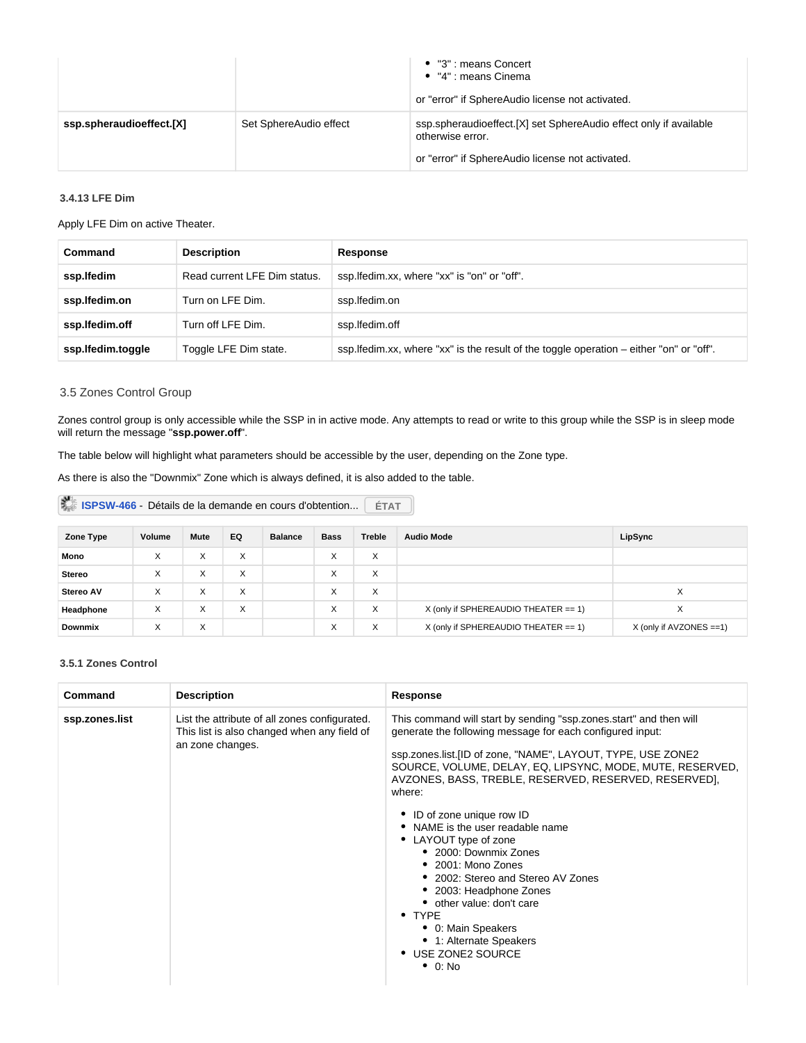|                          |                        | • "3" : means Concert<br>$\bullet$ "4" : means Cinema<br>or "error" if SphereAudio license not activated.                                 |
|--------------------------|------------------------|-------------------------------------------------------------------------------------------------------------------------------------------|
| ssp.spheraudioeffect.[X] | Set SphereAudio effect | ssp.spheraudioeffect.[X] set SphereAudio effect only if available<br>otherwise error.<br>or "error" if SphereAudio license not activated. |

## <span id="page-16-0"></span>**3.4.13 LFE Dim**

Apply LFE Dim on active Theater.

| Command           | <b>Description</b>           | Response                                                                                 |
|-------------------|------------------------------|------------------------------------------------------------------------------------------|
| ssp.lfedim        | Read current LFE Dim status. | ssp. Ifedim.xx, where "xx" is "on" or "off".                                             |
| ssp.lfedim.on     | Turn on LFE Dim.             | ssp.lfedim.on                                                                            |
| ssp.lfedim.off    | Turn off LFE Dim.            | ssp.lfedim.off                                                                           |
| ssp.lfedim.toggle | Toggle LFE Dim state.        | ssp. lfedim.xx, where "xx" is the result of the toggle operation – either "on" or "off". |

### <span id="page-16-1"></span>3.5 Zones Control Group

Zones control group is only accessible while the SSP in in active mode. Any attempts to read or write to this group while the SSP is in sleep mode will return the message "**ssp.power.off**".

The table below will highlight what parameters should be accessible by the user, depending on the Zone type.

As there is also the "Downmix" Zone which is always defined, it is also added to the table.

| ISPSW-466 - Détails de la demande en cours d'obtention<br><b>ÉTAT</b> |        |      |     |                |             |               |                                         |                           |
|-----------------------------------------------------------------------|--------|------|-----|----------------|-------------|---------------|-----------------------------------------|---------------------------|
| Zone Type                                                             | Volume | Mute | EQ. | <b>Balance</b> | <b>Bass</b> | <b>Treble</b> | <b>Audio Mode</b>                       | LipSync                   |
| Mono                                                                  | X      | X    | X   |                | X           | X             |                                         |                           |
| <b>Stereo</b>                                                         | X      | X    | X   |                | X           | X             |                                         |                           |
| Stereo AV                                                             | X      | X    | X   |                | X           | X             |                                         | X                         |
| Headphone                                                             | X      | X    | X   |                | X           | X             | X (only if SPHEREAUDIO THEATER $== 1$ ) | X                         |
| <b>Downmix</b>                                                        | X      | X    |     |                | X           | X             | X (only if SPHEREAUDIO THEATER == 1)    | $X$ (only if AVZONES ==1) |

#### <span id="page-16-2"></span>**3.5.1 Zones Control**

| Command        | <b>Description</b>                                                                                               | <b>Response</b>                                                                                                                                                                                                                                                                                                                                                                                                                                                                                                                                                                                                                                                                           |
|----------------|------------------------------------------------------------------------------------------------------------------|-------------------------------------------------------------------------------------------------------------------------------------------------------------------------------------------------------------------------------------------------------------------------------------------------------------------------------------------------------------------------------------------------------------------------------------------------------------------------------------------------------------------------------------------------------------------------------------------------------------------------------------------------------------------------------------------|
| ssp.zones.list | List the attribute of all zones configurated.<br>This list is also changed when any field of<br>an zone changes. | This command will start by sending "ssp.zones.start" and then will<br>generate the following message for each configured input:<br>ssp.zones.list.[ID of zone, "NAME", LAYOUT, TYPE, USE ZONE2<br>SOURCE, VOLUME, DELAY, EQ, LIPSYNC, MODE, MUTE, RESERVED,<br>AVZONES, BASS, TREBLE, RESERVED, RESERVED, RESERVED],<br>where:<br>ID of zone unique row ID<br>٠<br>NAME is the user readable name<br>• LAYOUT type of zone<br>• 2000: Downmix Zones<br>$\bullet$ 2001: Mono Zones<br>• 2002: Stereo and Stereo AV Zones<br>2003: Headphone Zones<br>• other value: don't care<br>$\bullet$ TYPE<br>• 0: Main Speakers<br>• 1: Alternate Speakers<br>• USE ZONE2 SOURCE<br>$\bullet$ 0: No |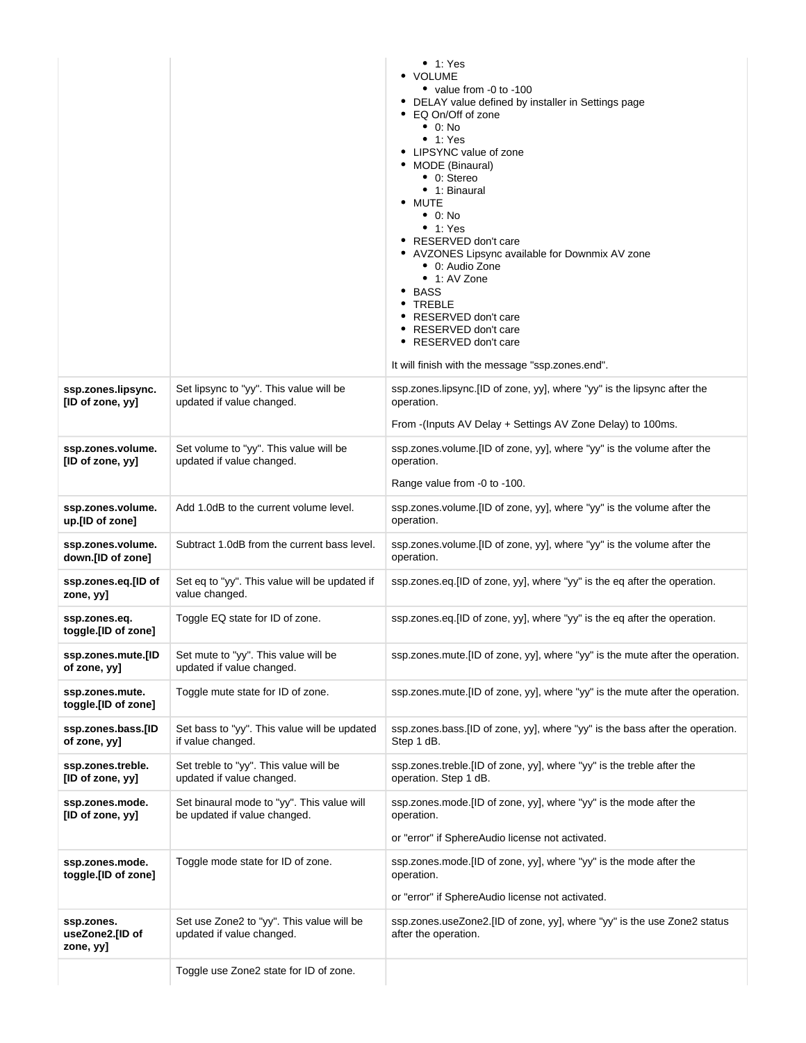|                                            |                                                                            | $\bullet$ 1: Yes<br>• VOLUME<br>• value from -0 to -100<br>• DELAY value defined by installer in Settings page<br>• EQ On/Off of zone<br>$\bullet$ 0: No<br>• 1: Yes<br>• LIPSYNC value of zone<br>• MODE (Binaural)<br>• 0: Stereo<br>• 1: Binaural<br>• MUTE<br>$\bullet$ 0: No<br>• 1: Yes<br>• RESERVED don't care<br>• AVZONES Lipsync available for Downmix AV zone<br>• 0: Audio Zone<br>$\bullet$ 1: AV Zone<br>• BASS<br>• TREBLE<br>• RESERVED don't care<br>• RESERVED don't care<br>• RESERVED don't care<br>It will finish with the message "ssp.zones.end". |
|--------------------------------------------|----------------------------------------------------------------------------|---------------------------------------------------------------------------------------------------------------------------------------------------------------------------------------------------------------------------------------------------------------------------------------------------------------------------------------------------------------------------------------------------------------------------------------------------------------------------------------------------------------------------------------------------------------------------|
| ssp.zones.lipsync.<br>[ID of zone, yy]     | Set lipsync to "yy". This value will be<br>updated if value changed.       | ssp.zones.lipsync.[ID of zone, yy], where "yy" is the lipsync after the<br>operation.<br>From -(Inputs AV Delay + Settings AV Zone Delay) to 100ms.                                                                                                                                                                                                                                                                                                                                                                                                                       |
| ssp.zones.volume.<br>[ID of zone, yy]      | Set volume to "yy". This value will be<br>updated if value changed.        | ssp.zones.volume.[ID of zone, yy], where "yy" is the volume after the<br>operation.<br>Range value from -0 to -100.                                                                                                                                                                                                                                                                                                                                                                                                                                                       |
| ssp.zones.volume.<br>up.[ID of zone]       | Add 1.0dB to the current volume level.                                     | ssp.zones.volume.[ID of zone, yy], where "yy" is the volume after the<br>operation.                                                                                                                                                                                                                                                                                                                                                                                                                                                                                       |
| ssp.zones.volume.<br>down.[ID of zone]     | Subtract 1.0dB from the current bass level.                                | ssp.zones.volume.[ID of zone, yy], where "yy" is the volume after the<br>operation.                                                                                                                                                                                                                                                                                                                                                                                                                                                                                       |
| ssp.zones.eq.[ID of<br>zone, yy]           | Set eq to "yy". This value will be updated if<br>value changed.            | ssp.zones.eq.[ID of zone, yy], where "yy" is the eq after the operation.                                                                                                                                                                                                                                                                                                                                                                                                                                                                                                  |
| ssp.zones.eq.<br>toggle.[ID of zone]       | Toggle EQ state for ID of zone.                                            | ssp.zones.eq.[ID of zone, yy], where "yy" is the eq after the operation.                                                                                                                                                                                                                                                                                                                                                                                                                                                                                                  |
| ssp.zones.mute.[ID<br>of zone, yy]         | Set mute to "yy". This value will be<br>updated if value changed.          | ssp.zones.mute.[ID of zone, yy], where "yy" is the mute after the operation.                                                                                                                                                                                                                                                                                                                                                                                                                                                                                              |
| ssp.zones.mute.<br>toggle.[ID of zone]     | Toggle mute state for ID of zone.                                          | ssp.zones.mute.[ID of zone, yy], where "yy" is the mute after the operation.                                                                                                                                                                                                                                                                                                                                                                                                                                                                                              |
| ssp.zones.bass.[ID<br>of zone, yy]         | Set bass to "yy". This value will be updated<br>if value changed.          | ssp.zones.bass.[ID of zone, yy], where "yy" is the bass after the operation.<br>Step 1 dB.                                                                                                                                                                                                                                                                                                                                                                                                                                                                                |
| ssp.zones.treble.<br>[ID of zone, yy]      | Set treble to "yy". This value will be<br>updated if value changed.        | ssp.zones.treble.[ID of zone, yy], where "yy" is the treble after the<br>operation. Step 1 dB.                                                                                                                                                                                                                                                                                                                                                                                                                                                                            |
| ssp.zones.mode.<br>[ID of zone, yy]        | Set binaural mode to "yy". This value will<br>be updated if value changed. | ssp.zones.mode.[ID of zone, yy], where "yy" is the mode after the<br>operation.<br>or "error" if SphereAudio license not activated.                                                                                                                                                                                                                                                                                                                                                                                                                                       |
| ssp.zones.mode.<br>toggle.[ID of zone]     | Toggle mode state for ID of zone.                                          | ssp.zones.mode.[ID of zone, yy], where "yy" is the mode after the<br>operation.<br>or "error" if SphereAudio license not activated.                                                                                                                                                                                                                                                                                                                                                                                                                                       |
| ssp.zones.<br>useZone2.[ID of<br>zone, yy] | Set use Zone2 to "yy". This value will be<br>updated if value changed.     | ssp.zones.useZone2.[ID of zone, yy], where "yy" is the use Zone2 status<br>after the operation.                                                                                                                                                                                                                                                                                                                                                                                                                                                                           |
|                                            | Toggle use Zone2 state for ID of zone.                                     |                                                                                                                                                                                                                                                                                                                                                                                                                                                                                                                                                                           |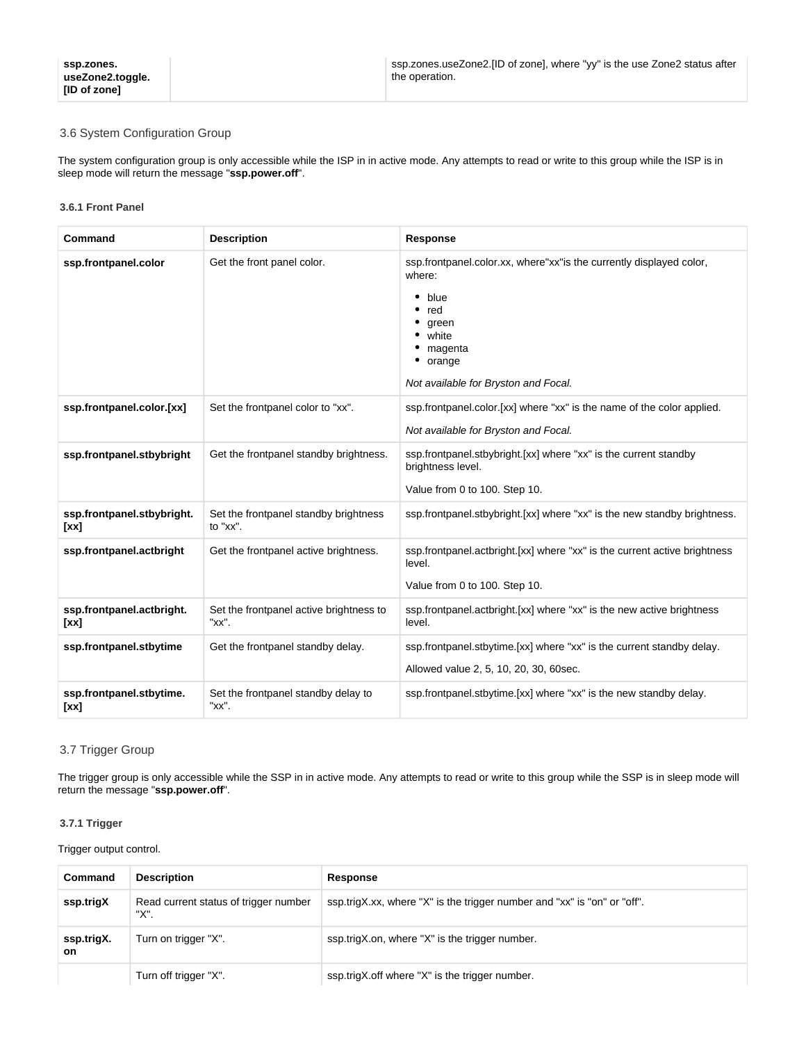## <span id="page-18-0"></span>3.6 System Configuration Group

The system configuration group is only accessible while the ISP in in active mode. Any attempts to read or write to this group while the ISP is in sleep mode will return the message "**ssp.power.off**".

#### <span id="page-18-1"></span>**3.6.1 Front Panel**

| Command                            | <b>Description</b>                                | <b>Response</b>                                                                                                                                                              |
|------------------------------------|---------------------------------------------------|------------------------------------------------------------------------------------------------------------------------------------------------------------------------------|
| ssp.frontpanel.color               | Get the front panel color.                        | ssp.frontpanel.color.xx, where"xx" is the currently displayed color,<br>where:<br>blue<br>red<br>green<br>white<br>magenta<br>orange<br>Not available for Bryston and Focal. |
| ssp.frontpanel.color.[xx]          | Set the frontpanel color to "xx".                 | ssp.frontpanel.color.[xx] where "xx" is the name of the color applied.<br>Not available for Bryston and Focal.                                                               |
| ssp.frontpanel.stbybright          | Get the frontpanel standby brightness.            | ssp.frontpanel.stbybright.[xx] where "xx" is the current standby<br>brightness level.<br>Value from 0 to 100. Step 10.                                                       |
| ssp.frontpanel.stbybright.<br>[xx] | Set the frontpanel standby brightness<br>to "xx". | ssp.frontpanel.stbybright.[xx] where "xx" is the new standby brightness.                                                                                                     |
| ssp.frontpanel.actbright           | Get the frontpanel active brightness.             | ssp.frontpanel.actbright.[xx] where "xx" is the current active brightness<br>level.<br>Value from 0 to 100. Step 10.                                                         |
| ssp.frontpanel.actbright.<br>[xx]  | Set the frontpanel active brightness to<br>"xx".  | ssp.frontpanel.actbright.[xx] where "xx" is the new active brightness<br>level.                                                                                              |
| ssp.frontpanel.stbytime            | Get the frontpanel standby delay.                 | ssp.frontpanel.stbytime.[xx] where "xx" is the current standby delay.<br>Allowed value 2, 5, 10, 20, 30, 60sec.                                                              |
| ssp.frontpanel.stbytime.<br>[xx]   | Set the frontpanel standby delay to<br>"xx".      | ssp.frontpanel.stbytime.[xx] where "xx" is the new standby delay.                                                                                                            |

#### <span id="page-18-2"></span>3.7 Trigger Group

The trigger group is only accessible while the SSP in in active mode. Any attempts to read or write to this group while the SSP is in sleep mode will return the message "**ssp.power.off**".

#### <span id="page-18-3"></span>**3.7.1 Trigger**

#### Trigger output control.

| Command                 | <b>Description</b>                            | Response                                                                 |
|-------------------------|-----------------------------------------------|--------------------------------------------------------------------------|
| ssp.trigX               | Read current status of trigger number<br>"X". | ssp.trigX.xx, where "X" is the trigger number and "xx" is "on" or "off". |
| ssp.trigX.<br><b>on</b> | Turn on trigger "X".                          | ssp.trigX.on, where "X" is the trigger number.                           |
|                         | Turn off trigger "X".                         | ssp.trigX.off where "X" is the trigger number.                           |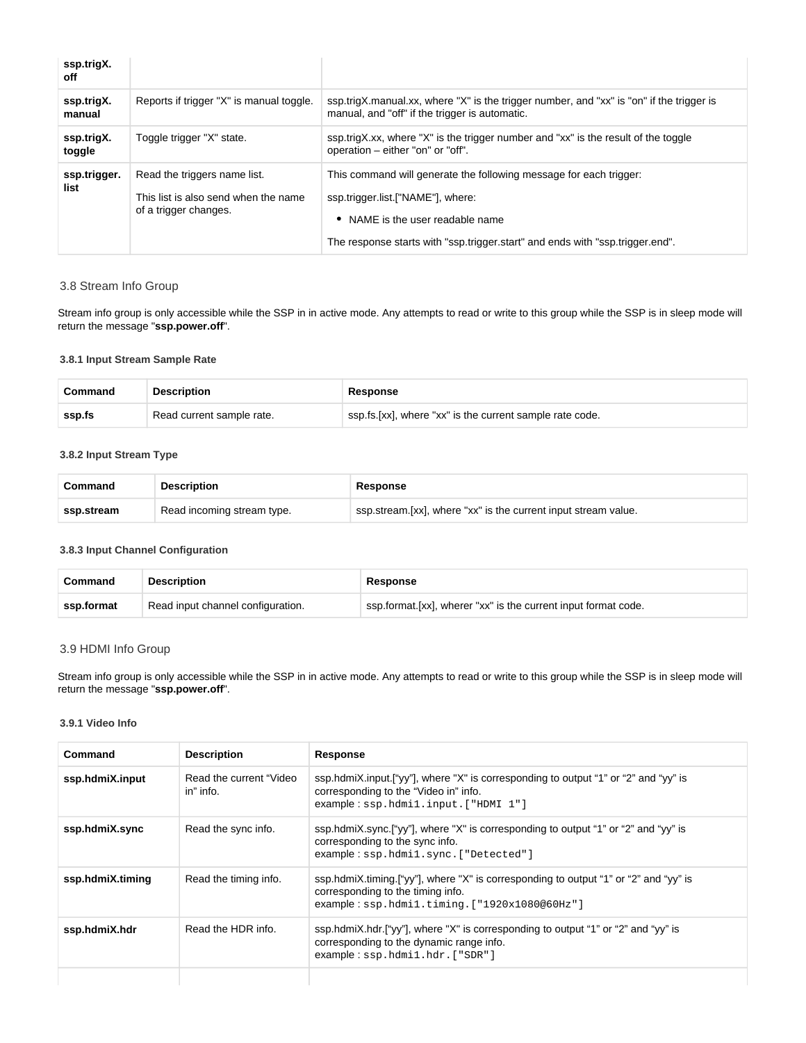| ssp.trigX.<br>off    |                                                                                               |                                                                                                                                                                                                                                 |
|----------------------|-----------------------------------------------------------------------------------------------|---------------------------------------------------------------------------------------------------------------------------------------------------------------------------------------------------------------------------------|
| ssp.trigX.<br>manual | Reports if trigger "X" is manual toggle.                                                      | ssp.trigX.manual.xx, where "X" is the trigger number, and "xx" is "on" if the trigger is<br>manual, and "off" if the trigger is automatic.                                                                                      |
| ssp.trigX.<br>toggle | Toggle trigger "X" state.                                                                     | ssp.trigX.xx, where "X" is the trigger number and "xx" is the result of the toggle<br>operation – either "on" or "off".                                                                                                         |
| ssp.trigger.<br>list | Read the triggers name list.<br>This list is also send when the name<br>of a trigger changes. | This command will generate the following message for each trigger:<br>ssp.trigger.list.["NAME"], where:<br>NAME is the user readable name<br>٠<br>The response starts with "ssp.trigger.start" and ends with "ssp.trigger.end". |

#### <span id="page-19-0"></span>3.8 Stream Info Group

Stream info group is only accessible while the SSP in in active mode. Any attempts to read or write to this group while the SSP is in sleep mode will return the message "**ssp.power.off**".

## <span id="page-19-1"></span>**3.8.1 Input Stream Sample Rate**

| Command | <b>Description</b>        | Response                                                 |
|---------|---------------------------|----------------------------------------------------------|
| ssp.fs  | Read current sample rate. | ssp.fs.[xx], where "xx" is the current sample rate code. |

#### <span id="page-19-2"></span>**3.8.2 Input Stream Type**

| Command    | <b>Description</b>         | <b>Response</b>                                                |
|------------|----------------------------|----------------------------------------------------------------|
| ssp.stream | Read incoming stream type. | ssp.stream.[xx], where "xx" is the current input stream value. |

#### <span id="page-19-3"></span>**3.8.3 Input Channel Configuration**

| Command    | Description                       | Response                                                       |
|------------|-----------------------------------|----------------------------------------------------------------|
| ssp.format | Read input channel configuration. | ssp.format.[xx], wherer "xx" is the current input format code. |

#### <span id="page-19-4"></span>3.9 HDMI Info Group

Stream info group is only accessible while the SSP in in active mode. Any attempts to read or write to this group while the SSP is in sleep mode will return the message "**ssp.power.off**".

#### <span id="page-19-5"></span>**3.9.1 Video Info**

| Command          | <b>Description</b>                   | Response                                                                                                                                                                  |
|------------------|--------------------------------------|---------------------------------------------------------------------------------------------------------------------------------------------------------------------------|
| ssp.hdmiX.input  | Read the current "Video<br>in" info. | ssp.hdmiX.input.["yy"], where "X" is corresponding to output "1" or "2" and "yy" is<br>corresponding to the "Video in" info.<br>example: ssp.html.input.["HDMI 1"]        |
| ssp.hdmiX.sync   | Read the sync info.                  | ssp.hdmiX.sync.["yy"], where "X" is corresponding to output "1" or "2" and "yy" is<br>corresponding to the sync info.<br>example: ssp.hdmil.sync. ["Detected"]            |
| ssp.hdmiX.timing | Read the timing info.                | ssp.hdmiX.timing.["yy"], where "X" is corresponding to output "1" or "2" and "yy" is<br>corresponding to the timing info.<br>example: ssp.hdmil.timing.["1920x1080@60Hz"] |
| ssp.hdmiX.hdr    | Read the HDR info.                   | ssp.hdmiX.hdr.["yy"], where "X" is corresponding to output "1" or "2" and "yy" is<br>corresponding to the dynamic range info.<br>example: ssp.hdmil.hdr.["SDR"]           |
|                  |                                      |                                                                                                                                                                           |